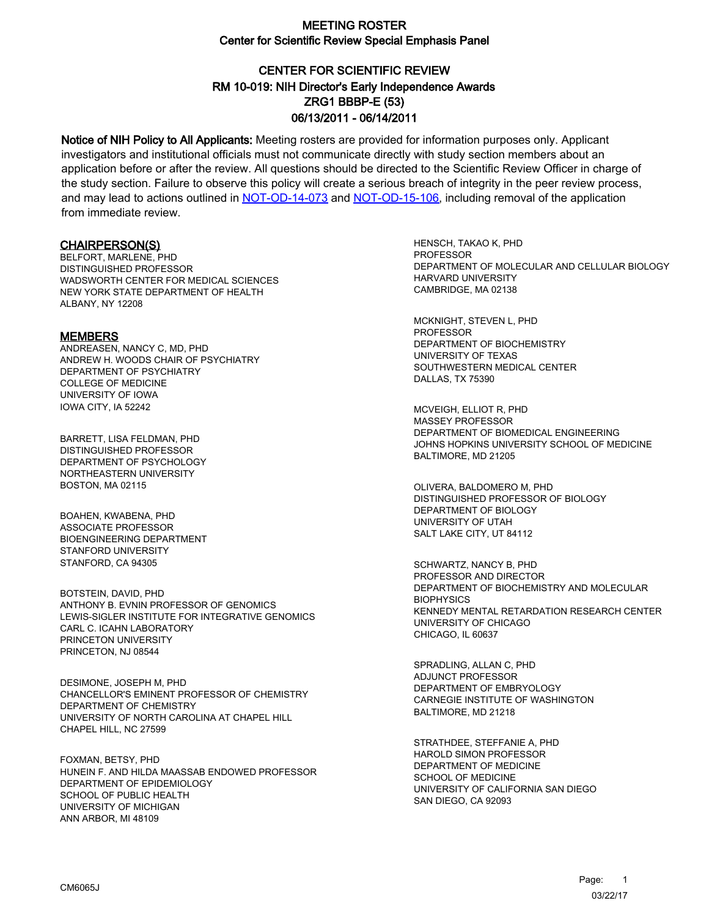# CENTER FOR SCIENTIFIC REVIEW ZRG1 BBBP-E (53) 06/13/2011 - 06/14/2011 RM 10-019: NIH Director's Early Independence Awards

Notice of NIH Policy to All Applicants: Meeting rosters are provided for information purposes only. Applicant investigators and institutional officials must not communicate directly with study section members about an application before or after the review. All questions should be directed to the Scientific Review Officer in charge of the study section. Failure to observe this policy will create a serious breach of integrity in the peer review process, and may lead to actions outlined in [NOT-OD-14-073](https://grants.nih.gov/grants/guide/notice-files/NOT-OD-14-073.html) and [NOT-OD-15-106,](https://grants.nih.gov/grants/guide/notice-files/NOT-OD-15-106.html) including removal of the application from immediate review.

#### CHAIRPERSON(S)

BELFORT, MARLENE, PHD DISTINGUISHED PROFESSOR WADSWORTH CENTER FOR MEDICAL SCIENCES NEW YORK STATE DEPARTMENT OF HEALTH AI BANY, NY 12208

#### **MEMBERS**

ANDREASEN, NANCY C, MD, PHD ANDREW H. WOODS CHAIR OF PSYCHIATRY DEPARTMENT OF PSYCHIATRY COLLEGE OF MEDICINE UNIVERSITY OF IOWA IOWA CITY, IA 52242

BARRETT, LISA FELDMAN, PHD DISTINGUISHED PROFESSOR DEPARTMENT OF PSYCHOLOGY NORTHEASTERN UNIVERSITY BOSTON, MA 02115

BOAHEN, KWABENA, PHD ASSOCIATE PROFESSOR BIOENGINEERING DEPARTMENT STANFORD UNIVERSITY STANFORD, CA 94305

BOTSTEIN, DAVID, PHD ANTHONY B. EVNIN PROFESSOR OF GENOMICS LEWIS-SIGLER INSTITUTE FOR INTEGRATIVE GENOMICS CARL C. ICAHN LABORATORY PRINCETON UNIVERSITY PRINCETON, NJ 08544

DESIMONE, JOSEPH M, PHD CHANCELLOR'S EMINENT PROFESSOR OF CHEMISTRY DEPARTMENT OF CHEMISTRY UNIVERSITY OF NORTH CAROLINA AT CHAPEL HILL CHAPEL HILL, NC 27599

FOXMAN, BETSY, PHD HUNEIN F. AND HILDA MAASSAB ENDOWED PROFESSOR DEPARTMENT OF EPIDEMIOLOGY SCHOOL OF PUBLIC HEALTH UNIVERSITY OF MICHIGAN ANN ARBOR, MI 48109

HENSCH, TAKAO K, PHD **PROFESSOR** DEPARTMENT OF MOLECULAR AND CELLULAR BIOLOGY HARVARD UNIVERSITY CAMBRIDGE, MA 02138

MCKNIGHT, STEVEN L, PHD PROFESSOR DEPARTMENT OF BIOCHEMISTRY UNIVERSITY OF TEXAS SOUTHWESTERN MEDICAL CENTER DALLAS, TX 75390

MCVEIGH, ELLIOT R, PHD MASSEY PROFESSOR DEPARTMENT OF BIOMEDICAL ENGINEERING JOHNS HOPKINS UNIVERSITY SCHOOL OF MEDICINE BALTIMORE, MD 21205

OLIVERA, BALDOMERO M, PHD DISTINGUISHED PROFESSOR OF BIOLOGY DEPARTMENT OF BIOLOGY UNIVERSITY OF UTAH SALT LAKE CITY, UT 84112

SCHWARTZ, NANCY B, PHD PROFESSOR AND DIRECTOR DEPARTMENT OF BIOCHEMISTRY AND MOLECULAR **BIOPHYSICS** KENNEDY MENTAL RETARDATION RESEARCH CENTER UNIVERSITY OF CHICAGO CHICAGO, IL 60637

SPRADLING, ALLAN C, PHD ADJUNCT PROFESSOR DEPARTMENT OF EMBRYOLOGY CARNEGIE INSTITUTE OF WASHINGTON BALTIMORE, MD 21218

STRATHDEE, STEFFANIE A, PHD HAROLD SIMON PROFESSOR DEPARTMENT OF MEDICINE SCHOOL OF MEDICINE UNIVERSITY OF CALIFORNIA SAN DIEGO SAN DIEGO, CA 92093

1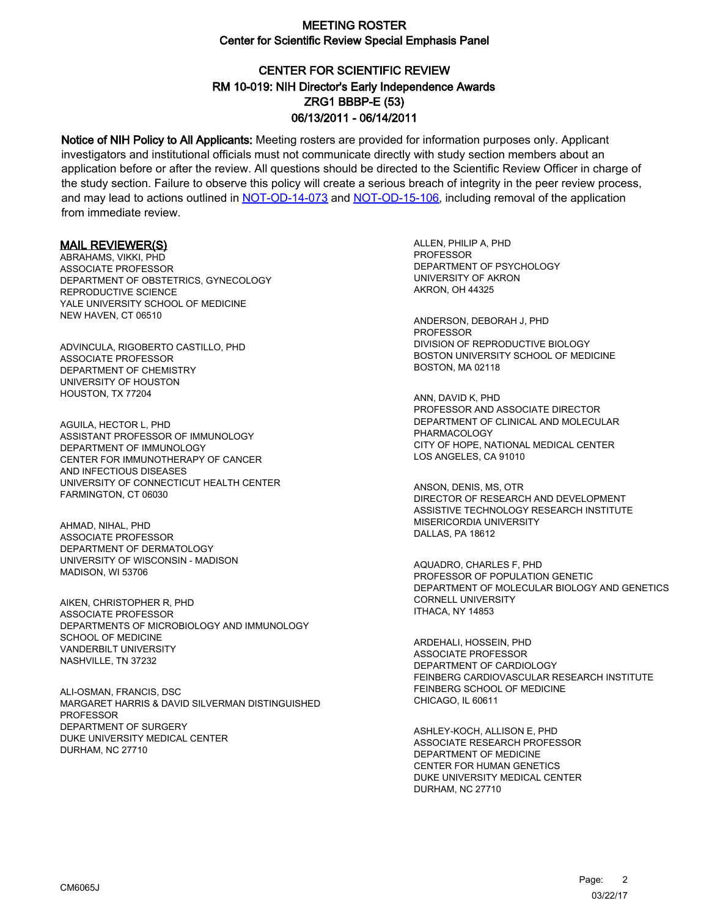# CENTER FOR SCIENTIFIC REVIEW ZRG1 BBBP-E (53) 06/13/2011 - 06/14/2011 RM 10-019: NIH Director's Early Independence Awards

Notice of NIH Policy to All Applicants: Meeting rosters are provided for information purposes only. Applicant investigators and institutional officials must not communicate directly with study section members about an application before or after the review. All questions should be directed to the Scientific Review Officer in charge of the study section. Failure to observe this policy will create a serious breach of integrity in the peer review process, and may lead to actions outlined in [NOT-OD-14-073](https://grants.nih.gov/grants/guide/notice-files/NOT-OD-14-073.html) and [NOT-OD-15-106,](https://grants.nih.gov/grants/guide/notice-files/NOT-OD-15-106.html) including removal of the application from immediate review.

#### MAIL REVIEWER(S)

ABRAHAMS, VIKKI, PHD ASSOCIATE PROFESSOR DEPARTMENT OF OBSTETRICS, GYNECOLOGY REPRODUCTIVE SCIENCE YALE UNIVERSITY SCHOOL OF MEDICINE NEW HAVEN, CT 06510

ADVINCULA, RIGOBERTO CASTILLO, PHD ASSOCIATE PROFESSOR DEPARTMENT OF CHEMISTRY UNIVERSITY OF HOUSTON HOUSTON, TX 77204

AGUILA, HECTOR L, PHD ASSISTANT PROFESSOR OF IMMUNOLOGY DEPARTMENT OF IMMUNOLOGY CENTER FOR IMMUNOTHERAPY OF CANCER AND INFECTIOUS DISEASES UNIVERSITY OF CONNECTICUT HEALTH CENTER FARMINGTON, CT 06030

AHMAD, NIHAL, PHD ASSOCIATE PROFESSOR DEPARTMENT OF DERMATOLOGY UNIVERSITY OF WISCONSIN - MADISON MADISON, WI 53706

AIKEN, CHRISTOPHER R, PHD ASSOCIATE PROFESSOR DEPARTMENTS OF MICROBIOLOGY AND IMMUNOLOGY SCHOOL OF MEDICINE VANDERBILT UNIVERSITY NASHVILLE, TN 37232

ALI-OSMAN, FRANCIS, DSC MARGARET HARRIS & DAVID SILVERMAN DISTINGUISHED PROFESSOR DEPARTMENT OF SURGERY DUKE UNIVERSITY MEDICAL CENTER DURHAM, NC 27710

ALLEN, PHILIP A, PHD **PROFESSOR** DEPARTMENT OF PSYCHOLOGY UNIVERSITY OF AKRON AKRON, OH 44325

ANDERSON, DEBORAH J, PHD PROFESSOR DIVISION OF REPRODUCTIVE BIOLOGY BOSTON UNIVERSITY SCHOOL OF MEDICINE BOSTON, MA 02118

ANN, DAVID K, PHD PROFESSOR AND ASSOCIATE DIRECTOR DEPARTMENT OF CLINICAL AND MOLECULAR PHARMACOLOGY CITY OF HOPE, NATIONAL MEDICAL CENTER LOS ANGELES, CA 91010

ANSON, DENIS, MS, OTR DIRECTOR OF RESEARCH AND DEVELOPMENT ASSISTIVE TECHNOLOGY RESEARCH INSTITUTE MISERICORDIA UNIVERSITY DALLAS, PA 18612

AQUADRO, CHARLES F, PHD PROFESSOR OF POPULATION GENETIC DEPARTMENT OF MOLECULAR BIOLOGY AND GENETICS CORNELL UNIVERSITY ITHACA, NY 14853

ARDEHALI, HOSSEIN, PHD ASSOCIATE PROFESSOR DEPARTMENT OF CARDIOLOGY FEINBERG CARDIOVASCULAR RESEARCH INSTITUTE FEINBERG SCHOOL OF MEDICINE CHICAGO, IL 60611

ASHLEY-KOCH, ALLISON E, PHD ASSOCIATE RESEARCH PROFESSOR DEPARTMENT OF MEDICINE CENTER FOR HUMAN GENETICS DUKE UNIVERSITY MEDICAL CENTER DURHAM, NC 27710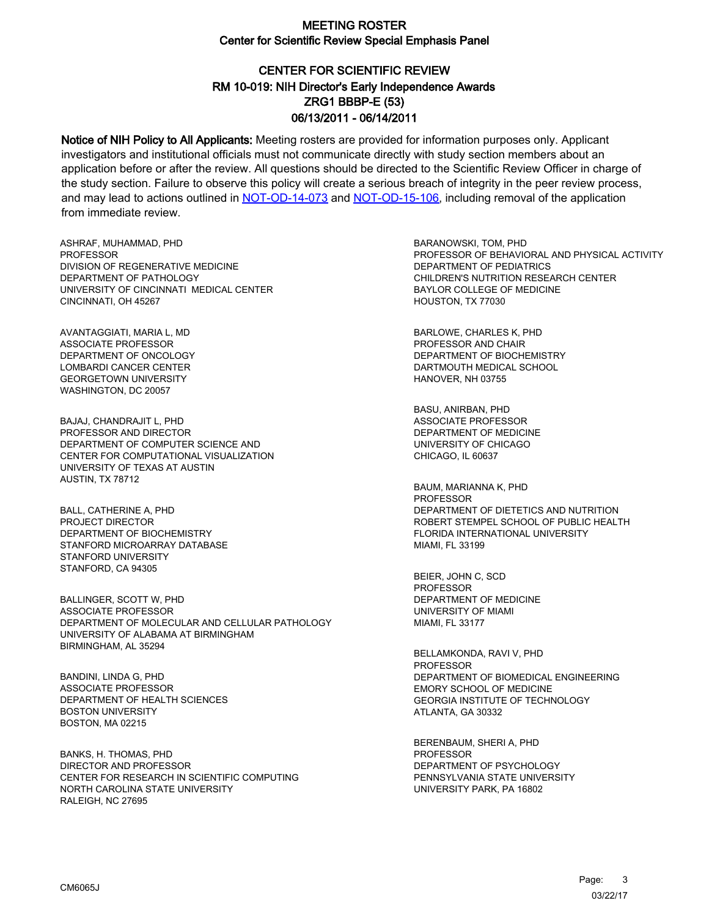# CENTER FOR SCIENTIFIC REVIEW ZRG1 BBBP-E (53) 06/13/2011 - 06/14/2011 RM 10-019: NIH Director's Early Independence Awards

Notice of NIH Policy to All Applicants: Meeting rosters are provided for information purposes only. Applicant investigators and institutional officials must not communicate directly with study section members about an application before or after the review. All questions should be directed to the Scientific Review Officer in charge of the study section. Failure to observe this policy will create a serious breach of integrity in the peer review process, and may lead to actions outlined in [NOT-OD-14-073](https://grants.nih.gov/grants/guide/notice-files/NOT-OD-14-073.html) and [NOT-OD-15-106,](https://grants.nih.gov/grants/guide/notice-files/NOT-OD-15-106.html) including removal of the application from immediate review.

ASHRAF, MUHAMMAD, PHD **PROFESSOR** DIVISION OF REGENERATIVE MEDICINE DEPARTMENT OF PATHOLOGY UNIVERSITY OF CINCINNATI MEDICAL CENTER CINCINNATI, OH 45267

AVANTAGGIATI, MARIA L, MD ASSOCIATE PROFESSOR DEPARTMENT OF ONCOLOGY LOMBARDI CANCER CENTER GEORGETOWN UNIVERSITY WASHINGTON, DC 20057

BAJAJ, CHANDRAJIT L, PHD PROFESSOR AND DIRECTOR DEPARTMENT OF COMPUTER SCIENCE AND CENTER FOR COMPUTATIONAL VISUALIZATION UNIVERSITY OF TEXAS AT AUSTIN AUSTIN, TX 78712

BALL, CATHERINE A, PHD PROJECT DIRECTOR DEPARTMENT OF BIOCHEMISTRY STANFORD MICROARRAY DATABASE STANFORD UNIVERSITY STANFORD, CA 94305

BALLINGER, SCOTT W, PHD ASSOCIATE PROFESSOR DEPARTMENT OF MOLECULAR AND CELLULAR PATHOLOGY UNIVERSITY OF ALABAMA AT BIRMINGHAM BIRMINGHAM, AL 35294

BANDINI, LINDA G, PHD ASSOCIATE PROFESSOR DEPARTMENT OF HEALTH SCIENCES BOSTON UNIVERSITY BOSTON, MA 02215

BANKS, H. THOMAS, PHD DIRECTOR AND PROFESSOR CENTER FOR RESEARCH IN SCIENTIFIC COMPUTING NORTH CAROLINA STATE UNIVERSITY RALEIGH, NC 27695

BARANOWSKI, TOM, PHD PROFESSOR OF BEHAVIORAL AND PHYSICAL ACTIVITY DEPARTMENT OF PEDIATRICS CHILDREN'S NUTRITION RESEARCH CENTER BAYLOR COLLEGE OF MEDICINE HOUSTON, TX 77030

BARLOWE, CHARLES K, PHD PROFESSOR AND CHAIR DEPARTMENT OF BIOCHEMISTRY DARTMOUTH MEDICAL SCHOOL HANOVER, NH 03755

BASU, ANIRBAN, PHD ASSOCIATE PROFESSOR DEPARTMENT OF MEDICINE UNIVERSITY OF CHICAGO CHICAGO, IL 60637

BAUM, MARIANNA K, PHD PROFESSOR DEPARTMENT OF DIETETICS AND NUTRITION ROBERT STEMPEL SCHOOL OF PUBLIC HEALTH FLORIDA INTERNATIONAL UNIVERSITY MIAMI, FL 33199

BEIER, JOHN C, SCD PROFESSOR DEPARTMENT OF MEDICINE UNIVERSITY OF MIAMI MIAMI, FL 33177

BELLAMKONDA, RAVI V, PHD PROFESSOR DEPARTMENT OF BIOMEDICAL ENGINEERING EMORY SCHOOL OF MEDICINE GEORGIA INSTITUTE OF TECHNOLOGY ATLANTA, GA 30332

BERENBAUM, SHERI A, PHD PROFESSOR DEPARTMENT OF PSYCHOLOGY PENNSYLVANIA STATE UNIVERSITY UNIVERSITY PARK, PA 16802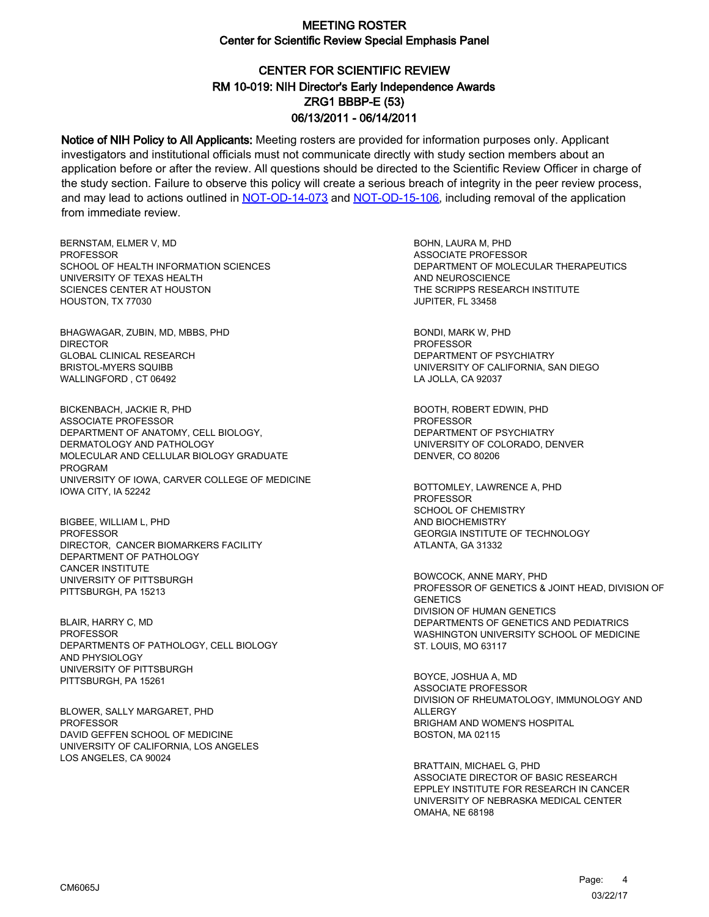# CENTER FOR SCIENTIFIC REVIEW ZRG1 BBBP-E (53) 06/13/2011 - 06/14/2011 RM 10-019: NIH Director's Early Independence Awards

Notice of NIH Policy to All Applicants: Meeting rosters are provided for information purposes only. Applicant investigators and institutional officials must not communicate directly with study section members about an application before or after the review. All questions should be directed to the Scientific Review Officer in charge of the study section. Failure to observe this policy will create a serious breach of integrity in the peer review process, and may lead to actions outlined in [NOT-OD-14-073](https://grants.nih.gov/grants/guide/notice-files/NOT-OD-14-073.html) and [NOT-OD-15-106,](https://grants.nih.gov/grants/guide/notice-files/NOT-OD-15-106.html) including removal of the application from immediate review.

BERNSTAM, ELMER V, MD PROFESSOR SCHOOL OF HEALTH INFORMATION SCIENCES UNIVERSITY OF TEXAS HEALTH SCIENCES CENTER AT HOUSTON HOUSTON, TX 77030

BHAGWAGAR, ZUBIN, MD, MBBS, PHD DIRECTOR GLOBAL CLINICAL RESEARCH BRISTOL-MYERS SQUIBB WALLINGFORD , CT 06492

BICKENBACH, JACKIE R, PHD ASSOCIATE PROFESSOR DEPARTMENT OF ANATOMY, CELL BIOLOGY, DERMATOLOGY AND PATHOLOGY MOLECULAR AND CELLULAR BIOLOGY GRADUATE PROGRAM UNIVERSITY OF IOWA, CARVER COLLEGE OF MEDICINE IOWA CITY, IA 52242

BIGBEE, WILLIAM L, PHD PROFESSOR DIRECTOR, CANCER BIOMARKERS FACILITY DEPARTMENT OF PATHOLOGY CANCER INSTITUTE UNIVERSITY OF PITTSBURGH PITTSBURGH, PA 15213

BLAIR, HARRY C, MD PROFESSOR DEPARTMENTS OF PATHOLOGY, CELL BIOLOGY AND PHYSIOLOGY UNIVERSITY OF PITTSBURGH PITTSBURGH, PA 15261

BLOWER, SALLY MARGARET, PHD **PROFESSOR** DAVID GEFFEN SCHOOL OF MEDICINE UNIVERSITY OF CALIFORNIA, LOS ANGELES LOS ANGELES, CA 90024

BOHN, LAURA M, PHD ASSOCIATE PROFESSOR DEPARTMENT OF MOLECULAR THERAPEUTICS AND NEUROSCIENCE THE SCRIPPS RESEARCH INSTITUTE JUPITER, FL 33458

BONDI, MARK W, PHD PROFESSOR DEPARTMENT OF PSYCHIATRY UNIVERSITY OF CALIFORNIA, SAN DIEGO LA JOLLA, CA 92037

BOOTH, ROBERT EDWIN, PHD PROFESSOR DEPARTMENT OF PSYCHIATRY UNIVERSITY OF COLORADO, DENVER DENVER, CO 80206

BOTTOMLEY, LAWRENCE A, PHD PROFESSOR SCHOOL OF CHEMISTRY AND BIOCHEMISTRY GEORGIA INSTITUTE OF TECHNOLOGY ATLANTA, GA 31332

BOWCOCK, ANNE MARY, PHD PROFESSOR OF GENETICS & JOINT HEAD, DIVISION OF **GENETICS** DIVISION OF HUMAN GENETICS DEPARTMENTS OF GENETICS AND PEDIATRICS WASHINGTON UNIVERSITY SCHOOL OF MEDICINE ST. LOUIS, MO 63117

BOYCE, JOSHUA A, MD ASSOCIATE PROFESSOR DIVISION OF RHEUMATOLOGY, IMMUNOLOGY AND ALLERGY BRIGHAM AND WOMEN'S HOSPITAL BOSTON, MA 02115

BRATTAIN, MICHAEL G, PHD ASSOCIATE DIRECTOR OF BASIC RESEARCH EPPLEY INSTITUTE FOR RESEARCH IN CANCER UNIVERSITY OF NEBRASKA MEDICAL CENTER OMAHA, NE 68198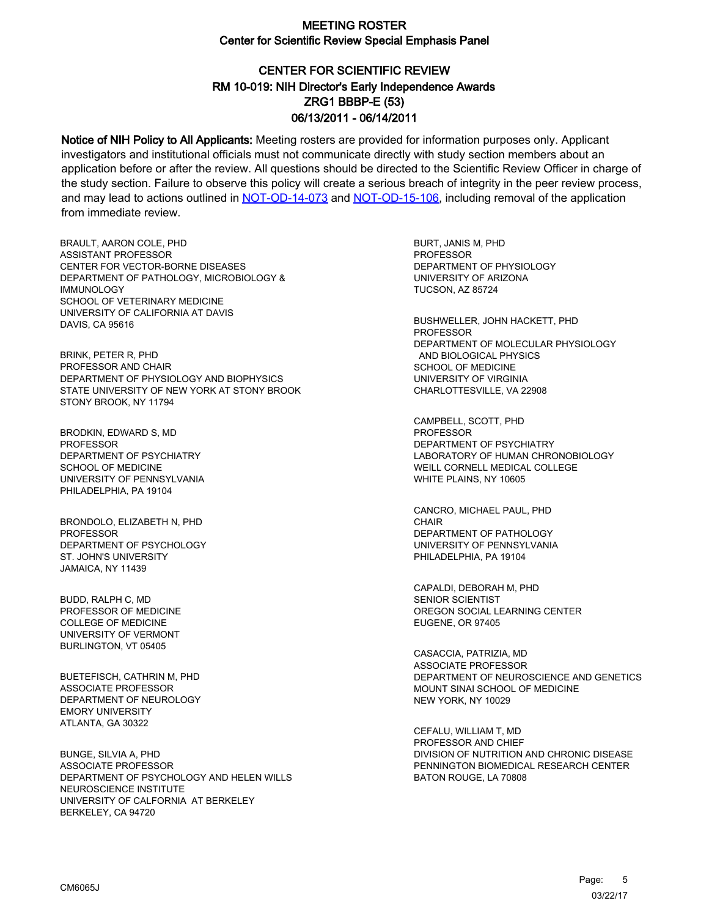# CENTER FOR SCIENTIFIC REVIEW ZRG1 BBBP-E (53) 06/13/2011 - 06/14/2011 RM 10-019: NIH Director's Early Independence Awards

Notice of NIH Policy to All Applicants: Meeting rosters are provided for information purposes only. Applicant investigators and institutional officials must not communicate directly with study section members about an application before or after the review. All questions should be directed to the Scientific Review Officer in charge of the study section. Failure to observe this policy will create a serious breach of integrity in the peer review process, and may lead to actions outlined in [NOT-OD-14-073](https://grants.nih.gov/grants/guide/notice-files/NOT-OD-14-073.html) and [NOT-OD-15-106,](https://grants.nih.gov/grants/guide/notice-files/NOT-OD-15-106.html) including removal of the application from immediate review.

BRAULT, AARON COLE, PHD ASSISTANT PROFESSOR CENTER FOR VECTOR-BORNE DISEASES DEPARTMENT OF PATHOLOGY, MICROBIOLOGY & IMMUNOLOGY SCHOOL OF VETERINARY MEDICINE UNIVERSITY OF CALIFORNIA AT DAVIS DAVIS, CA 95616

BRINK, PETER R, PHD PROFESSOR AND CHAIR DEPARTMENT OF PHYSIOLOGY AND BIOPHYSICS STATE UNIVERSITY OF NEW YORK AT STONY BROOK STONY BROOK, NY 11794

BRODKIN, EDWARD S, MD **PROFESSOR** DEPARTMENT OF PSYCHIATRY SCHOOL OF MEDICINE UNIVERSITY OF PENNSYLVANIA PHILADELPHIA, PA 19104

BRONDOLO, ELIZABETH N, PHD **PROFESSOR** DEPARTMENT OF PSYCHOLOGY ST. JOHN'S UNIVERSITY JAMAICA, NY 11439

BUDD, RALPH C, MD PROFESSOR OF MEDICINE COLLEGE OF MEDICINE UNIVERSITY OF VERMONT BURLINGTON, VT 05405

BUETEFISCH, CATHRIN M, PHD ASSOCIATE PROFESSOR DEPARTMENT OF NEUROLOGY EMORY UNIVERSITY ATLANTA, GA 30322

BUNGE, SILVIA A, PHD ASSOCIATE PROFESSOR DEPARTMENT OF PSYCHOLOGY AND HELEN WILLS NEUROSCIENCE INSTITUTE UNIVERSITY OF CALFORNIA AT BERKELEY BERKELEY, CA 94720

BURT, JANIS M, PHD **PROFESSOR** DEPARTMENT OF PHYSIOLOGY UNIVERSITY OF ARIZONA TUCSON, AZ 85724

BUSHWELLER, JOHN HACKETT, PHD PROFESSOR DEPARTMENT OF MOLECULAR PHYSIOLOGY AND BIOLOGICAL PHYSICS SCHOOL OF MEDICINE UNIVERSITY OF VIRGINIA CHARLOTTESVILLE, VA 22908

CAMPBELL, SCOTT, PHD **PROFESSOR** DEPARTMENT OF PSYCHIATRY LABORATORY OF HUMAN CHRONOBIOLOGY WEILL CORNELL MEDICAL COLLEGE WHITE PLAINS, NY 10605

CANCRO, MICHAEL PAUL, PHD **CHAIR** DEPARTMENT OF PATHOLOGY UNIVERSITY OF PENNSYLVANIA PHILADELPHIA, PA 19104

CAPALDI, DEBORAH M, PHD SENIOR SCIENTIST OREGON SOCIAL LEARNING CENTER EUGENE, OR 97405

CASACCIA, PATRIZIA, MD ASSOCIATE PROFESSOR DEPARTMENT OF NEUROSCIENCE AND GENETICS MOUNT SINAI SCHOOL OF MEDICINE NEW YORK, NY 10029

CEFALU, WILLIAM T, MD PROFESSOR AND CHIEF DIVISION OF NUTRITION AND CHRONIC DISEASE PENNINGTON BIOMEDICAL RESEARCH CENTER BATON ROUGE, LA 70808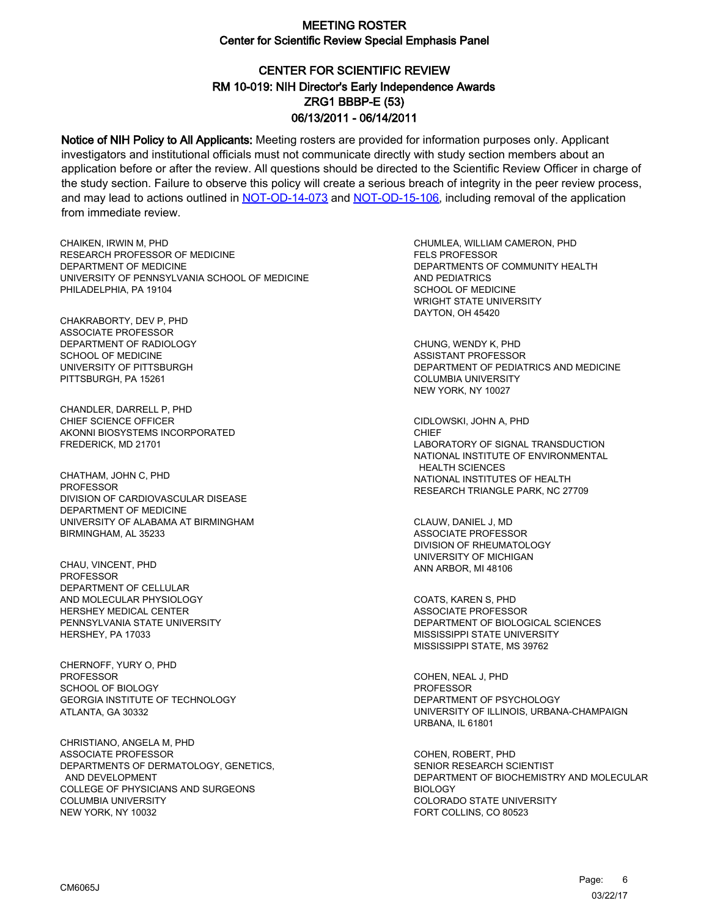# CENTER FOR SCIENTIFIC REVIEW ZRG1 BBBP-E (53) 06/13/2011 - 06/14/2011 RM 10-019: NIH Director's Early Independence Awards

Notice of NIH Policy to All Applicants: Meeting rosters are provided for information purposes only. Applicant investigators and institutional officials must not communicate directly with study section members about an application before or after the review. All questions should be directed to the Scientific Review Officer in charge of the study section. Failure to observe this policy will create a serious breach of integrity in the peer review process, and may lead to actions outlined in [NOT-OD-14-073](https://grants.nih.gov/grants/guide/notice-files/NOT-OD-14-073.html) and [NOT-OD-15-106,](https://grants.nih.gov/grants/guide/notice-files/NOT-OD-15-106.html) including removal of the application from immediate review.

CHAIKEN, IRWIN M, PHD RESEARCH PROFESSOR OF MEDICINE DEPARTMENT OF MEDICINE UNIVERSITY OF PENNSYLVANIA SCHOOL OF MEDICINE PHILADELPHIA, PA 19104

CHAKRABORTY, DEV P, PHD ASSOCIATE PROFESSOR DEPARTMENT OF RADIOLOGY SCHOOL OF MEDICINE UNIVERSITY OF PITTSBURGH PITTSBURGH, PA 15261

CHANDLER, DARRELL P, PHD CHIEF SCIENCE OFFICER AKONNI BIOSYSTEMS INCORPORATED FREDERICK, MD 21701

CHATHAM, JOHN C, PHD **PROFESSOR** DIVISION OF CARDIOVASCULAR DISEASE DEPARTMENT OF MEDICINE UNIVERSITY OF ALABAMA AT BIRMINGHAM BIRMINGHAM, AL 35233

CHAU, VINCENT, PHD PROFESSOR DEPARTMENT OF CELLULAR AND MOLECULAR PHYSIOLOGY HERSHEY MEDICAL CENTER PENNSYLVANIA STATE UNIVERSITY HERSHEY, PA 17033

CHERNOFF, YURY O, PHD PROFESSOR SCHOOL OF BIOLOGY GEORGIA INSTITUTE OF TECHNOLOGY ATLANTA, GA 30332

CHRISTIANO, ANGELA M, PHD ASSOCIATE PROFESSOR DEPARTMENTS OF DERMATOLOGY, GENETICS, AND DEVELOPMENT COLLEGE OF PHYSICIANS AND SURGEONS COLUMBIA UNIVERSITY NEW YORK, NY 10032

CHUMLEA, WILLIAM CAMERON, PHD FELS PROFESSOR DEPARTMENTS OF COMMUNITY HEALTH AND PEDIATRICS SCHOOL OF MEDICINE WRIGHT STATE UNIVERSITY DAYTON, OH 45420

CHUNG, WENDY K, PHD ASSISTANT PROFESSOR DEPARTMENT OF PEDIATRICS AND MEDICINE COLUMBIA UNIVERSITY NEW YORK, NY 10027

CIDLOWSKI, JOHN A, PHD **CHIEF** LABORATORY OF SIGNAL TRANSDUCTION NATIONAL INSTITUTE OF ENVIRONMENTAL HEALTH SCIENCES NATIONAL INSTITUTES OF HEALTH RESEARCH TRIANGLE PARK, NC 27709

CLAUW, DANIEL J, MD ASSOCIATE PROFESSOR DIVISION OF RHEUMATOLOGY UNIVERSITY OF MICHIGAN ANN ARBOR, MI 48106

COATS, KAREN S, PHD ASSOCIATE PROFESSOR DEPARTMENT OF BIOLOGICAL SCIENCES MISSISSIPPI STATE UNIVERSITY MISSISSIPPI STATE, MS 39762

COHEN, NEAL J, PHD PROFESSOR DEPARTMENT OF PSYCHOLOGY UNIVERSITY OF ILLINOIS, URBANA-CHAMPAIGN URBANA, IL 61801

COHEN, ROBERT, PHD SENIOR RESEARCH SCIENTIST DEPARTMENT OF BIOCHEMISTRY AND MOLECULAR **BIOLOGY** COLORADO STATE UNIVERSITY FORT COLLINS, CO 80523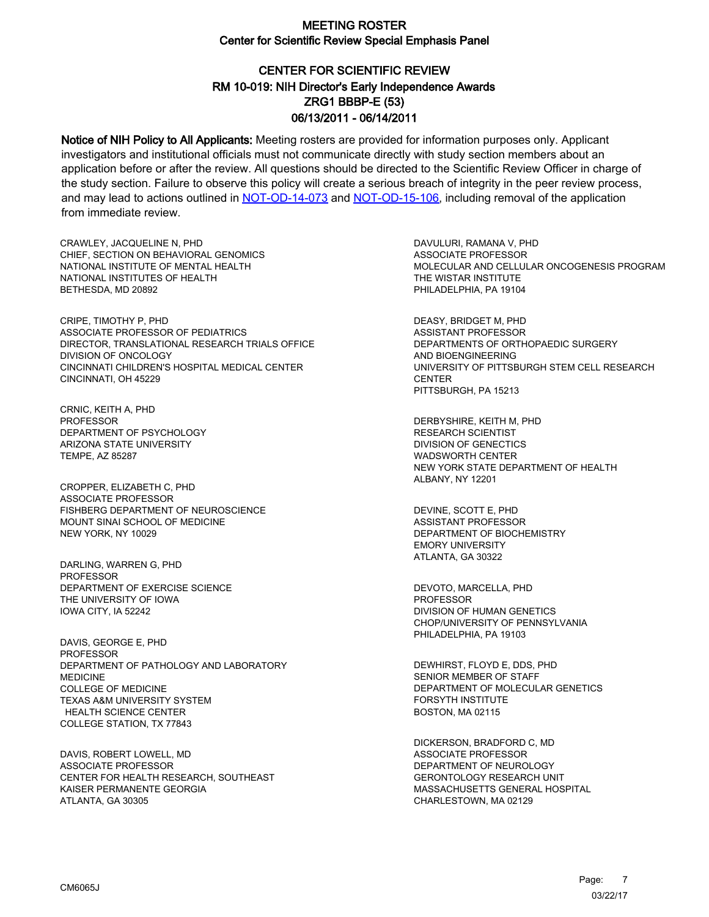## CENTER FOR SCIENTIFIC REVIEW ZRG1 BBBP-E (53) 06/13/2011 - 06/14/2011 RM 10-019: NIH Director's Early Independence Awards

Notice of NIH Policy to All Applicants: Meeting rosters are provided for information purposes only. Applicant investigators and institutional officials must not communicate directly with study section members about an application before or after the review. All questions should be directed to the Scientific Review Officer in charge of the study section. Failure to observe this policy will create a serious breach of integrity in the peer review process, and may lead to actions outlined in [NOT-OD-14-073](https://grants.nih.gov/grants/guide/notice-files/NOT-OD-14-073.html) and [NOT-OD-15-106,](https://grants.nih.gov/grants/guide/notice-files/NOT-OD-15-106.html) including removal of the application from immediate review.

CRAWLEY, JACQUELINE N, PHD CHIEF, SECTION ON BEHAVIORAL GENOMICS NATIONAL INSTITUTE OF MENTAL HEALTH NATIONAL INSTITUTES OF HEALTH BETHESDA, MD 20892

CRIPE, TIMOTHY P, PHD ASSOCIATE PROFESSOR OF PEDIATRICS DIRECTOR, TRANSLATIONAL RESEARCH TRIALS OFFICE DIVISION OF ONCOLOGY CINCINNATI CHILDREN'S HOSPITAL MEDICAL CENTER CINCINNATI, OH 45229

CRNIC, KEITH A, PHD PROFESSOR DEPARTMENT OF PSYCHOLOGY ARIZONA STATE UNIVERSITY TEMPE, AZ 85287

CROPPER, ELIZABETH C, PHD ASSOCIATE PROFESSOR FISHBERG DEPARTMENT OF NEUROSCIENCE MOUNT SINAI SCHOOL OF MEDICINE NEW YORK, NY 10029

DARLING, WARREN G, PHD PROFESSOR DEPARTMENT OF EXERCISE SCIENCE THE UNIVERSITY OF IOWA IOWA CITY, IA 52242

DAVIS, GEORGE E, PHD PROFESSOR DEPARTMENT OF PATHOLOGY AND LABORATORY **MEDICINE** COLLEGE OF MEDICINE TEXAS A&M UNIVERSITY SYSTEM HEALTH SCIENCE CENTER COLLEGE STATION, TX 77843

DAVIS, ROBERT LOWELL, MD ASSOCIATE PROFESSOR CENTER FOR HEALTH RESEARCH, SOUTHEAST KAISER PERMANENTE GEORGIA ATLANTA, GA 30305

DAVULURI, RAMANA V, PHD ASSOCIATE PROFESSOR MOLECULAR AND CELLULAR ONCOGENESIS PROGRAM THE WISTAR INSTITUTE PHILADELPHIA, PA 19104

DEASY, BRIDGET M, PHD ASSISTANT PROFESSOR DEPARTMENTS OF ORTHOPAEDIC SURGERY AND BIOENGINEERING UNIVERSITY OF PITTSBURGH STEM CELL RESEARCH **CENTER** PITTSBURGH, PA 15213

DERBYSHIRE, KEITH M, PHD RESEARCH SCIENTIST DIVISION OF GENECTICS WADSWORTH CENTER NEW YORK STATE DEPARTMENT OF HEALTH ALBANY, NY 12201

DEVINE, SCOTT E, PHD ASSISTANT PROFESSOR DEPARTMENT OF BIOCHEMISTRY EMORY UNIVERSITY ATLANTA, GA 30322

DEVOTO, MARCELLA, PHD PROFESSOR DIVISION OF HUMAN GENETICS CHOP/UNIVERSITY OF PENNSYLVANIA PHILADELPHIA, PA 19103

DEWHIRST, FLOYD E, DDS, PHD SENIOR MEMBER OF STAFF DEPARTMENT OF MOLECULAR GENETICS FORSYTH INSTITUTE BOSTON, MA 02115

DICKERSON, BRADFORD C, MD ASSOCIATE PROFESSOR DEPARTMENT OF NEUROLOGY GERONTOLOGY RESEARCH UNIT MASSACHUSETTS GENERAL HOSPITAL CHARLESTOWN, MA 02129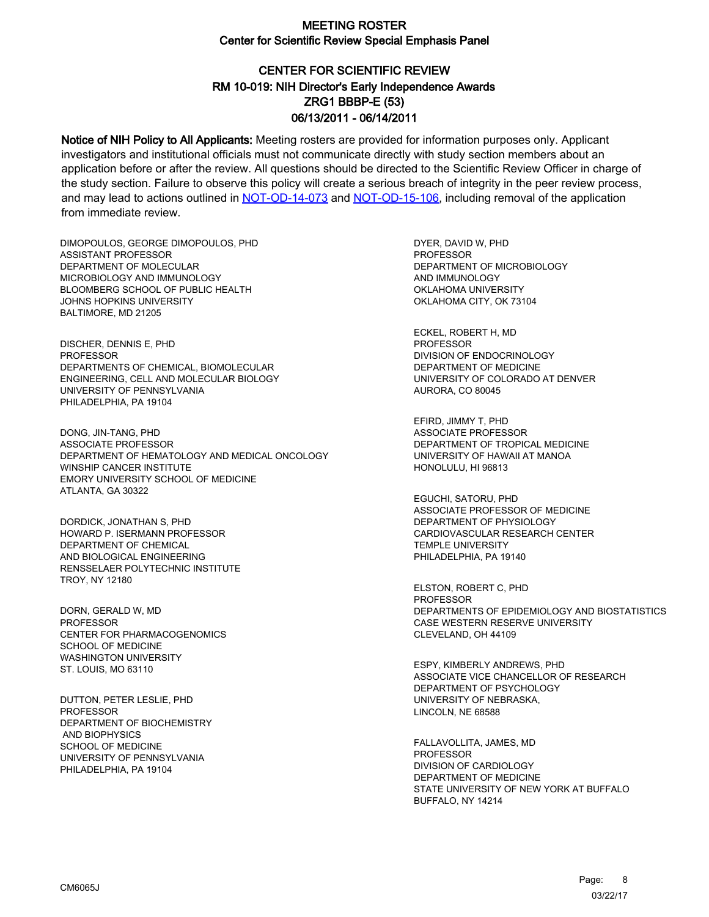# CENTER FOR SCIENTIFIC REVIEW ZRG1 BBBP-E (53) 06/13/2011 - 06/14/2011 RM 10-019: NIH Director's Early Independence Awards

Notice of NIH Policy to All Applicants: Meeting rosters are provided for information purposes only. Applicant investigators and institutional officials must not communicate directly with study section members about an application before or after the review. All questions should be directed to the Scientific Review Officer in charge of the study section. Failure to observe this policy will create a serious breach of integrity in the peer review process, and may lead to actions outlined in [NOT-OD-14-073](https://grants.nih.gov/grants/guide/notice-files/NOT-OD-14-073.html) and [NOT-OD-15-106,](https://grants.nih.gov/grants/guide/notice-files/NOT-OD-15-106.html) including removal of the application from immediate review.

DIMOPOULOS, GEORGE DIMOPOULOS, PHD ASSISTANT PROFESSOR DEPARTMENT OF MOLECULAR MICROBIOLOGY AND IMMUNOLOGY BLOOMBERG SCHOOL OF PUBLIC HEALTH JOHNS HOPKINS UNIVERSITY BALTIMORE, MD 21205

DISCHER, DENNIS E, PHD PROFESSOR DEPARTMENTS OF CHEMICAL, BIOMOLECULAR ENGINEERING, CELL AND MOLECULAR BIOLOGY UNIVERSITY OF PENNSYLVANIA PHILADELPHIA, PA 19104

DONG, JIN-TANG, PHD ASSOCIATE PROFESSOR DEPARTMENT OF HEMATOLOGY AND MEDICAL ONCOLOGY WINSHIP CANCER INSTITUTE EMORY UNIVERSITY SCHOOL OF MEDICINE ATLANTA, GA 30322

DORDICK, JONATHAN S, PHD HOWARD P. ISERMANN PROFESSOR DEPARTMENT OF CHEMICAL AND BIOLOGICAL ENGINEERING RENSSELAER POLYTECHNIC INSTITUTE TROY, NY 12180

DORN, GERALD W, MD **PROFESSOR** CENTER FOR PHARMACOGENOMICS SCHOOL OF MEDICINE WASHINGTON UNIVERSITY ST. LOUIS, MO 63110

DUTTON, PETER LESLIE, PHD PROFESSOR DEPARTMENT OF BIOCHEMISTRY AND BIOPHYSICS SCHOOL OF MEDICINE UNIVERSITY OF PENNSYLVANIA PHILADELPHIA, PA 19104

DYER, DAVID W, PHD PROFESSOR DEPARTMENT OF MICROBIOLOGY AND IMMUNOLOGY OKLAHOMA UNIVERSITY OKLAHOMA CITY, OK 73104

ECKEL, ROBERT H, MD PROFESSOR DIVISION OF ENDOCRINOLOGY DEPARTMENT OF MEDICINE UNIVERSITY OF COLORADO AT DENVER AURORA, CO 80045

EFIRD, JIMMY T, PHD ASSOCIATE PROFESSOR DEPARTMENT OF TROPICAL MEDICINE UNIVERSITY OF HAWAII AT MANOA HONOLULU, HI 96813

EGUCHI, SATORU, PHD ASSOCIATE PROFESSOR OF MEDICINE DEPARTMENT OF PHYSIOLOGY CARDIOVASCULAR RESEARCH CENTER TEMPLE UNIVERSITY PHILADELPHIA, PA 19140

ELSTON, ROBERT C, PHD PROFESSOR DEPARTMENTS OF EPIDEMIOLOGY AND BIOSTATISTICS CASE WESTERN RESERVE UNIVERSITY CLEVELAND, OH 44109

ESPY, KIMBERLY ANDREWS, PHD ASSOCIATE VICE CHANCELLOR OF RESEARCH DEPARTMENT OF PSYCHOLOGY UNIVERSITY OF NEBRASKA, LINCOLN, NE 68588

FALLAVOLLITA, JAMES, MD PROFESSOR DIVISION OF CARDIOLOGY DEPARTMENT OF MEDICINE STATE UNIVERSITY OF NEW YORK AT BUFFALO BUFFALO, NY 14214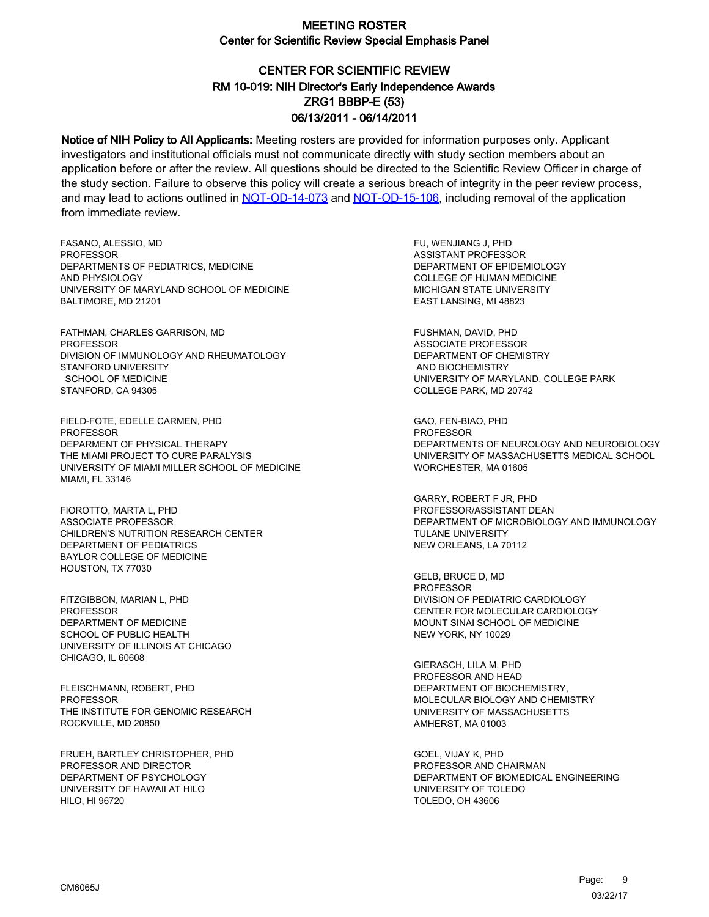# CENTER FOR SCIENTIFIC REVIEW ZRG1 BBBP-E (53) 06/13/2011 - 06/14/2011 RM 10-019: NIH Director's Early Independence Awards

Notice of NIH Policy to All Applicants: Meeting rosters are provided for information purposes only. Applicant investigators and institutional officials must not communicate directly with study section members about an application before or after the review. All questions should be directed to the Scientific Review Officer in charge of the study section. Failure to observe this policy will create a serious breach of integrity in the peer review process, and may lead to actions outlined in [NOT-OD-14-073](https://grants.nih.gov/grants/guide/notice-files/NOT-OD-14-073.html) and [NOT-OD-15-106,](https://grants.nih.gov/grants/guide/notice-files/NOT-OD-15-106.html) including removal of the application from immediate review.

FASANO, ALESSIO, MD **PROFESSOR** DEPARTMENTS OF PEDIATRICS, MEDICINE AND PHYSIOLOGY UNIVERSITY OF MARYLAND SCHOOL OF MEDICINE BALTIMORE, MD 21201

FATHMAN, CHARLES GARRISON, MD PROFESSOR DIVISION OF IMMUNOLOGY AND RHEUMATOLOGY STANFORD UNIVERSITY SCHOOL OF MEDICINE STANFORD, CA 94305

FIELD-FOTE, EDELLE CARMEN, PHD **PROFESSOR** DEPARMENT OF PHYSICAL THERAPY THE MIAMI PROJECT TO CURE PARALYSIS UNIVERSITY OF MIAMI MILLER SCHOOL OF MEDICINE MIAMI, FL 33146

FIOROTTO, MARTA L, PHD ASSOCIATE PROFESSOR CHILDREN'S NUTRITION RESEARCH CENTER DEPARTMENT OF PEDIATRICS BAYLOR COLLEGE OF MEDICINE HOUSTON, TX 77030

FITZGIBBON, MARIAN L, PHD PROFESSOR DEPARTMENT OF MEDICINE SCHOOL OF PUBLIC HEALTH UNIVERSITY OF ILLINOIS AT CHICAGO CHICAGO, IL 60608

FLEISCHMANN, ROBERT, PHD PROFESSOR THE INSTITUTE FOR GENOMIC RESEARCH ROCKVILLE, MD 20850

FRUEH, BARTLEY CHRISTOPHER, PHD PROFESSOR AND DIRECTOR DEPARTMENT OF PSYCHOLOGY UNIVERSITY OF HAWAII AT HILO HILO, HI 96720

FU, WENJIANG J, PHD ASSISTANT PROFESSOR DEPARTMENT OF EPIDEMIOLOGY COLLEGE OF HUMAN MEDICINE MICHIGAN STATE UNIVERSITY EAST LANSING, MI 48823

FUSHMAN, DAVID, PHD ASSOCIATE PROFESSOR DEPARTMENT OF CHEMISTRY AND BIOCHEMISTRY UNIVERSITY OF MARYLAND, COLLEGE PARK COLLEGE PARK, MD 20742

GAO, FEN-BIAO, PHD **PROFESSOR** DEPARTMENTS OF NEUROLOGY AND NEUROBIOLOGY UNIVERSITY OF MASSACHUSETTS MEDICAL SCHOOL WORCHESTER, MA 01605

GARRY, ROBERT F JR, PHD PROFESSOR/ASSISTANT DEAN DEPARTMENT OF MICROBIOLOGY AND IMMUNOLOGY **TULANE UNIVERSITY** NEW ORLEANS, LA 70112

GELB, BRUCE D, MD PROFESSOR DIVISION OF PEDIATRIC CARDIOLOGY CENTER FOR MOLECULAR CARDIOLOGY MOUNT SINAI SCHOOL OF MEDICINE NEW YORK, NY 10029

GIERASCH, LILA M, PHD PROFESSOR AND HEAD DEPARTMENT OF BIOCHEMISTRY, MOLECULAR BIOLOGY AND CHEMISTRY UNIVERSITY OF MASSACHUSETTS AMHERST, MA 01003

GOEL, VIJAY K, PHD PROFESSOR AND CHAIRMAN DEPARTMENT OF BIOMEDICAL ENGINEERING UNIVERSITY OF TOLEDO TOLEDO, OH 43606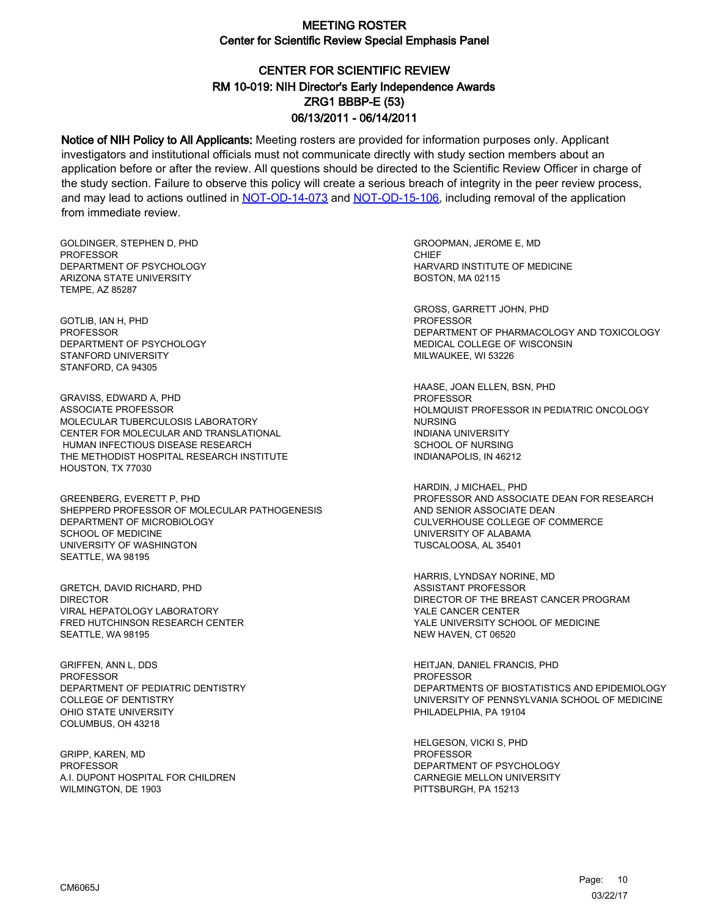## CENTER FOR SCIENTIFIC REVIEW ZRG1 BBBP-E (53) 06/13/2011 - 06/14/2011 RM 10-019: NIH Director's Early Independence Awards

Notice of NIH Policy to All Applicants: Meeting rosters are provided for information purposes only. Applicant investigators and institutional officials must not communicate directly with study section members about an application before or after the review. All questions should be directed to the Scientific Review Officer in charge of the study section. Failure to observe this policy will create a serious breach of integrity in the peer review process, and may lead to actions outlined in [NOT-OD-14-073](https://grants.nih.gov/grants/guide/notice-files/NOT-OD-14-073.html) and [NOT-OD-15-106,](https://grants.nih.gov/grants/guide/notice-files/NOT-OD-15-106.html) including removal of the application from immediate review.

GOLDINGER, STEPHEN D, PHD **PROFESSOR** DEPARTMENT OF PSYCHOLOGY ARIZONA STATE UNIVERSITY TEMPE, AZ 85287

GOTLIB, IAN H, PHD PROFESSOR DEPARTMENT OF PSYCHOLOGY STANFORD UNIVERSITY STANFORD, CA 94305

GRAVISS, EDWARD A, PHD ASSOCIATE PROFESSOR MOLECULAR TUBERCULOSIS LABORATORY CENTER FOR MOLECULAR AND TRANSLATIONAL HUMAN INFECTIOUS DISEASE RESEARCH THE METHODIST HOSPITAL RESEARCH INSTITUTE HOUSTON, TX 77030

GREENBERG, EVERETT P, PHD SHEPPERD PROFESSOR OF MOLECULAR PATHOGENESIS DEPARTMENT OF MICROBIOLOGY SCHOOL OF MEDICINE UNIVERSITY OF WASHINGTON SEATTLE, WA 98195

GRETCH, DAVID RICHARD, PHD DIRECTOR VIRAL HEPATOLOGY LABORATORY FRED HUTCHINSON RESEARCH CENTER SEATTLE, WA 98195

GRIFFEN, ANN L, DDS **PROFESSOR** DEPARTMENT OF PEDIATRIC DENTISTRY COLLEGE OF DENTISTRY OHIO STATE UNIVERSITY COLUMBUS, OH 43218

GRIPP, KAREN, MD PROFESSOR A.I. DUPONT HOSPITAL FOR CHILDREN WILMINGTON, DE 1903

GROOPMAN, JEROME E, MD **CHIEF** HARVARD INSTITUTE OF MEDICINE BOSTON, MA 02115

GROSS, GARRETT JOHN, PHD PROFESSOR DEPARTMENT OF PHARMACOLOGY AND TOXICOLOGY MEDICAL COLLEGE OF WISCONSIN MILWAUKEE, WI 53226

HAASE, JOAN ELLEN, BSN, PHD PROFESSOR HOLMQUIST PROFESSOR IN PEDIATRIC ONCOLOGY NURSING INDIANA UNIVERSITY SCHOOL OF NURSING INDIANAPOLIS, IN 46212

HARDIN, J MICHAEL, PHD PROFESSOR AND ASSOCIATE DEAN FOR RESEARCH AND SENIOR ASSOCIATE DEAN CULVERHOUSE COLLEGE OF COMMERCE UNIVERSITY OF ALABAMA TUSCALOOSA, AL 35401

HARRIS, LYNDSAY NORINE, MD ASSISTANT PROFESSOR DIRECTOR OF THE BREAST CANCER PROGRAM YALE CANCER CENTER YALE UNIVERSITY SCHOOL OF MEDICINE NEW HAVEN, CT 06520

HEITJAN, DANIEL FRANCIS, PHD **PROFESSOR** DEPARTMENTS OF BIOSTATISTICS AND EPIDEMIOLOGY UNIVERSITY OF PENNSYLVANIA SCHOOL OF MEDICINE PHILADELPHIA, PA 19104

HELGESON, VICKI S, PHD PROFESSOR DEPARTMENT OF PSYCHOLOGY CARNEGIE MELLON UNIVERSITY PITTSBURGH, PA 15213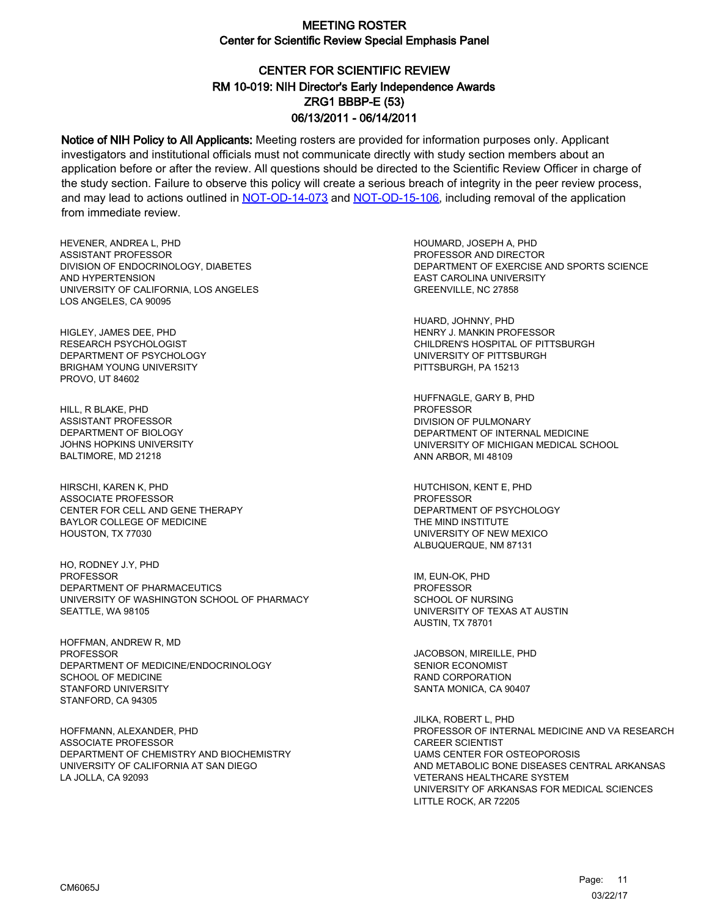# CENTER FOR SCIENTIFIC REVIEW ZRG1 BBBP-E (53) 06/13/2011 - 06/14/2011 RM 10-019: NIH Director's Early Independence Awards

Notice of NIH Policy to All Applicants: Meeting rosters are provided for information purposes only. Applicant investigators and institutional officials must not communicate directly with study section members about an application before or after the review. All questions should be directed to the Scientific Review Officer in charge of the study section. Failure to observe this policy will create a serious breach of integrity in the peer review process, and may lead to actions outlined in [NOT-OD-14-073](https://grants.nih.gov/grants/guide/notice-files/NOT-OD-14-073.html) and [NOT-OD-15-106,](https://grants.nih.gov/grants/guide/notice-files/NOT-OD-15-106.html) including removal of the application from immediate review.

HEVENER, ANDREA L, PHD ASSISTANT PROFESSOR DIVISION OF ENDOCRINOLOGY, DIABETES AND HYPERTENSION UNIVERSITY OF CALIFORNIA, LOS ANGELES LOS ANGELES, CA 90095

HIGLEY, JAMES DEE, PHD RESEARCH PSYCHOLOGIST DEPARTMENT OF PSYCHOLOGY BRIGHAM YOUNG UNIVERSITY PROVO, UT 84602

HILL, R BLAKE, PHD ASSISTANT PROFESSOR DEPARTMENT OF BIOLOGY JOHNS HOPKINS UNIVERSITY BALTIMORE, MD 21218

HIRSCHI, KAREN K, PHD ASSOCIATE PROFESSOR CENTER FOR CELL AND GENE THERAPY BAYLOR COLLEGE OF MEDICINE HOUSTON, TX 77030

HO, RODNEY J.Y, PHD PROFESSOR DEPARTMENT OF PHARMACEUTICS UNIVERSITY OF WASHINGTON SCHOOL OF PHARMACY SEATTLE, WA 98105

HOFFMAN, ANDREW R, MD PROFESSOR DEPARTMENT OF MEDICINE/ENDOCRINOLOGY SCHOOL OF MEDICINE STANFORD UNIVERSITY STANFORD, CA 94305

HOFFMANN, ALEXANDER, PHD ASSOCIATE PROFESSOR DEPARTMENT OF CHEMISTRY AND BIOCHEMISTRY UNIVERSITY OF CALIFORNIA AT SAN DIEGO LA JOLLA, CA 92093

HOUMARD, JOSEPH A, PHD PROFESSOR AND DIRECTOR DEPARTMENT OF EXERCISE AND SPORTS SCIENCE EAST CAROLINA UNIVERSITY GREENVILLE, NC 27858

HUARD, JOHNNY, PHD HENRY J. MANKIN PROFESSOR CHILDREN'S HOSPITAL OF PITTSBURGH UNIVERSITY OF PITTSBURGH PITTSBURGH, PA 15213

HUFFNAGLE, GARY B, PHD PROFESSOR DIVISION OF PULMONARY DEPARTMENT OF INTERNAL MEDICINE UNIVERSITY OF MICHIGAN MEDICAL SCHOOL ANN ARBOR, MI 48109

HUTCHISON, KENT E, PHD PROFESSOR DEPARTMENT OF PSYCHOLOGY THE MIND INSTITUTE UNIVERSITY OF NEW MEXICO ALBUQUERQUE, NM 87131

IM, EUN-OK, PHD PROFESSOR SCHOOL OF NURSING UNIVERSITY OF TEXAS AT AUSTIN AUSTIN, TX 78701

JACOBSON, MIREILLE, PHD SENIOR ECONOMIST RAND CORPORATION SANTA MONICA, CA 90407

JILKA, ROBERT L, PHD PROFESSOR OF INTERNAL MEDICINE AND VA RESEARCH CAREER SCIENTIST UAMS CENTER FOR OSTEOPOROSIS AND METABOLIC BONE DISEASES CENTRAL ARKANSAS VETERANS HEALTHCARE SYSTEM UNIVERSITY OF ARKANSAS FOR MEDICAL SCIENCES LITTLE ROCK, AR 72205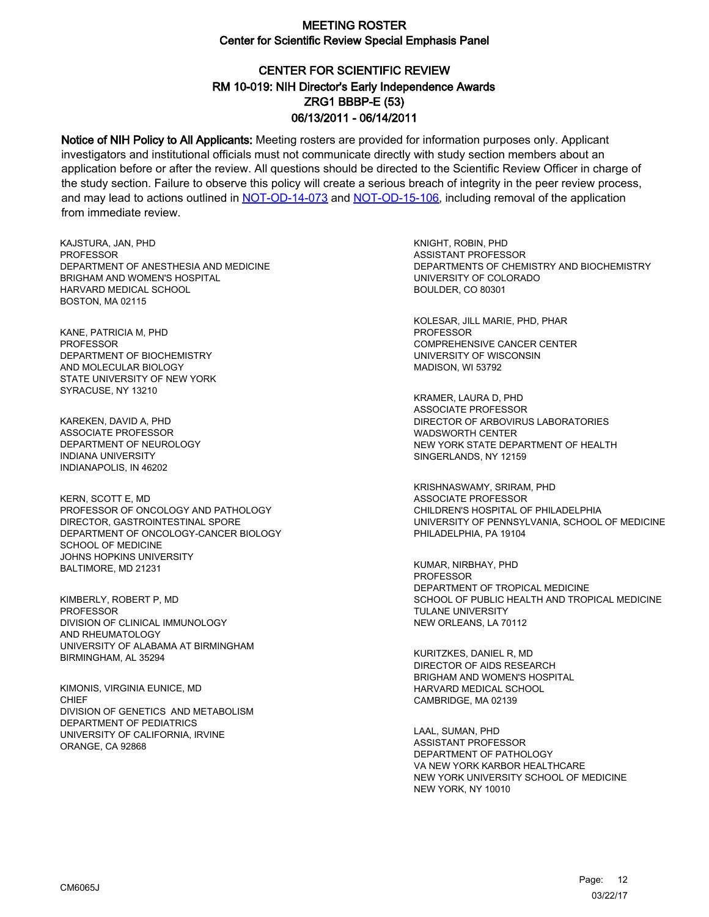# CENTER FOR SCIENTIFIC REVIEW ZRG1 BBBP-E (53) 06/13/2011 - 06/14/2011 RM 10-019: NIH Director's Early Independence Awards

Notice of NIH Policy to All Applicants: Meeting rosters are provided for information purposes only. Applicant investigators and institutional officials must not communicate directly with study section members about an application before or after the review. All questions should be directed to the Scientific Review Officer in charge of the study section. Failure to observe this policy will create a serious breach of integrity in the peer review process, and may lead to actions outlined in [NOT-OD-14-073](https://grants.nih.gov/grants/guide/notice-files/NOT-OD-14-073.html) and [NOT-OD-15-106,](https://grants.nih.gov/grants/guide/notice-files/NOT-OD-15-106.html) including removal of the application from immediate review.

KAJSTURA, JAN, PHD **PROFESSOR** DEPARTMENT OF ANESTHESIA AND MEDICINE BRIGHAM AND WOMEN'S HOSPITAL HARVARD MEDICAL SCHOOL BOSTON, MA 02115

KANE, PATRICIA M, PHD PROFESSOR DEPARTMENT OF BIOCHEMISTRY AND MOLECULAR BIOLOGY STATE UNIVERSITY OF NEW YORK SYRACUSE, NY 13210

KAREKEN, DAVID A, PHD ASSOCIATE PROFESSOR DEPARTMENT OF NEUROLOGY INDIANA UNIVERSITY INDIANAPOLIS, IN 46202

KERN, SCOTT E, MD PROFESSOR OF ONCOLOGY AND PATHOLOGY DIRECTOR, GASTROINTESTINAL SPORE DEPARTMENT OF ONCOLOGY-CANCER BIOLOGY SCHOOL OF MEDICINE JOHNS HOPKINS UNIVERSITY BALTIMORE, MD 21231

KIMBERLY, ROBERT P, MD PROFESSOR DIVISION OF CLINICAL IMMUNOLOGY AND RHEUMATOLOGY UNIVERSITY OF ALABAMA AT BIRMINGHAM BIRMINGHAM, AL 35294

KIMONIS, VIRGINIA EUNICE, MD **CHIFF** DIVISION OF GENETICS AND METABOLISM DEPARTMENT OF PEDIATRICS UNIVERSITY OF CALIFORNIA, IRVINE ORANGE, CA 92868

KNIGHT, ROBIN, PHD ASSISTANT PROFESSOR DEPARTMENTS OF CHEMISTRY AND BIOCHEMISTRY UNIVERSITY OF COLORADO BOULDER, CO 80301

KOLESAR, JILL MARIE, PHD, PHAR PROFESSOR COMPREHENSIVE CANCER CENTER UNIVERSITY OF WISCONSIN MADISON, WI 53792

KRAMER, LAURA D, PHD ASSOCIATE PROFESSOR DIRECTOR OF ARBOVIRUS LABORATORIES WADSWORTH CENTER NEW YORK STATE DEPARTMENT OF HEALTH SINGERLANDS, NY 12159

KRISHNASWAMY, SRIRAM, PHD ASSOCIATE PROFESSOR CHILDREN'S HOSPITAL OF PHILADELPHIA UNIVERSITY OF PENNSYLVANIA, SCHOOL OF MEDICINE PHILADELPHIA, PA 19104

KUMAR, NIRBHAY, PHD PROFESSOR DEPARTMENT OF TROPICAL MEDICINE SCHOOL OF PUBLIC HEALTH AND TROPICAL MEDICINE TULANE UNIVERSITY NEW ORLEANS, LA 70112

KURITZKES, DANIEL R, MD DIRECTOR OF AIDS RESEARCH BRIGHAM AND WOMEN'S HOSPITAL HARVARD MEDICAL SCHOOL CAMBRIDGE, MA 02139

LAAL, SUMAN, PHD ASSISTANT PROFESSOR DEPARTMENT OF PATHOLOGY VA NEW YORK KARBOR HEALTHCARE NEW YORK UNIVERSITY SCHOOL OF MEDICINE NEW YORK, NY 10010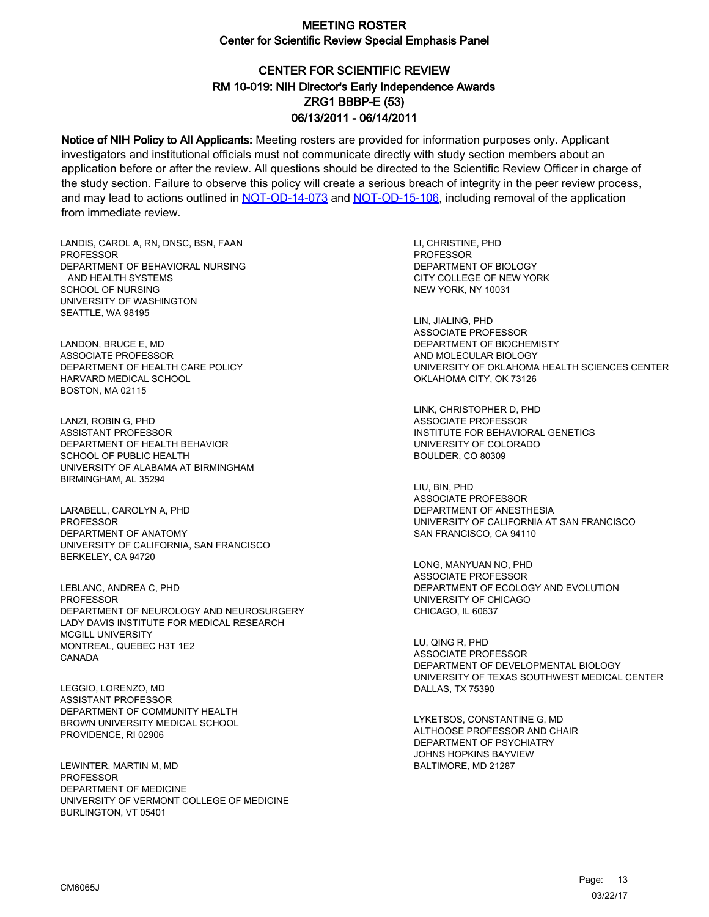# CENTER FOR SCIENTIFIC REVIEW ZRG1 BBBP-E (53) 06/13/2011 - 06/14/2011 RM 10-019: NIH Director's Early Independence Awards

Notice of NIH Policy to All Applicants: Meeting rosters are provided for information purposes only. Applicant investigators and institutional officials must not communicate directly with study section members about an application before or after the review. All questions should be directed to the Scientific Review Officer in charge of the study section. Failure to observe this policy will create a serious breach of integrity in the peer review process, and may lead to actions outlined in [NOT-OD-14-073](https://grants.nih.gov/grants/guide/notice-files/NOT-OD-14-073.html) and [NOT-OD-15-106,](https://grants.nih.gov/grants/guide/notice-files/NOT-OD-15-106.html) including removal of the application from immediate review.

LANDIS, CAROL A, RN, DNSC, BSN, FAAN **PROFESSOR** DEPARTMENT OF BEHAVIORAL NURSING AND HEALTH SYSTEMS SCHOOL OF NURSING UNIVERSITY OF WASHINGTON SEATTLE, WA 98195

LANDON, BRUCE E, MD ASSOCIATE PROFESSOR DEPARTMENT OF HEALTH CARE POLICY HARVARD MEDICAL SCHOOL BOSTON, MA 02115

LANZI, ROBIN G, PHD ASSISTANT PROFESSOR DEPARTMENT OF HEALTH BEHAVIOR SCHOOL OF PUBLIC HEALTH UNIVERSITY OF ALABAMA AT BIRMINGHAM BIRMINGHAM, AL 35294

LARABELL, CAROLYN A, PHD **PROFESSOR** DEPARTMENT OF ANATOMY UNIVERSITY OF CALIFORNIA, SAN FRANCISCO BERKELEY, CA 94720

LEBLANC, ANDREA C, PHD PROFESSOR DEPARTMENT OF NEUROLOGY AND NEUROSURGERY LADY DAVIS INSTITUTE FOR MEDICAL RESEARCH MCGILL UNIVERSITY MONTREAL, QUEBEC H3T 1E2 CANADA

LEGGIO, LORENZO, MD ASSISTANT PROFESSOR DEPARTMENT OF COMMUNITY HEALTH BROWN UNIVERSITY MEDICAL SCHOOL PROVIDENCE, RI 02906

LEWINTER, MARTIN M, MD PROFESSOR DEPARTMENT OF MEDICINE UNIVERSITY OF VERMONT COLLEGE OF MEDICINE BURLINGTON, VT 05401

LI, CHRISTINE, PHD **PROFESSOR** DEPARTMENT OF BIOLOGY CITY COLLEGE OF NEW YORK NEW YORK, NY 10031

LIN, JIALING, PHD ASSOCIATE PROFESSOR DEPARTMENT OF BIOCHEMISTY AND MOLECULAR BIOLOGY UNIVERSITY OF OKLAHOMA HEALTH SCIENCES CENTER OKLAHOMA CITY, OK 73126

LINK, CHRISTOPHER D, PHD ASSOCIATE PROFESSOR INSTITUTE FOR BEHAVIORAL GENETICS UNIVERSITY OF COLORADO BOULDER, CO 80309

LIU, BIN, PHD ASSOCIATE PROFESSOR DEPARTMENT OF ANESTHESIA UNIVERSITY OF CALIFORNIA AT SAN FRANCISCO SAN FRANCISCO, CA 94110

LONG, MANYUAN NO, PHD ASSOCIATE PROFESSOR DEPARTMENT OF ECOLOGY AND EVOLUTION UNIVERSITY OF CHICAGO CHICAGO, IL 60637

LU, QING R, PHD ASSOCIATE PROFESSOR DEPARTMENT OF DEVELOPMENTAL BIOLOGY UNIVERSITY OF TEXAS SOUTHWEST MEDICAL CENTER DALLAS, TX 75390

LYKETSOS, CONSTANTINE G, MD ALTHOOSE PROFESSOR AND CHAIR DEPARTMENT OF PSYCHIATRY JOHNS HOPKINS BAYVIEW BALTIMORE, MD 21287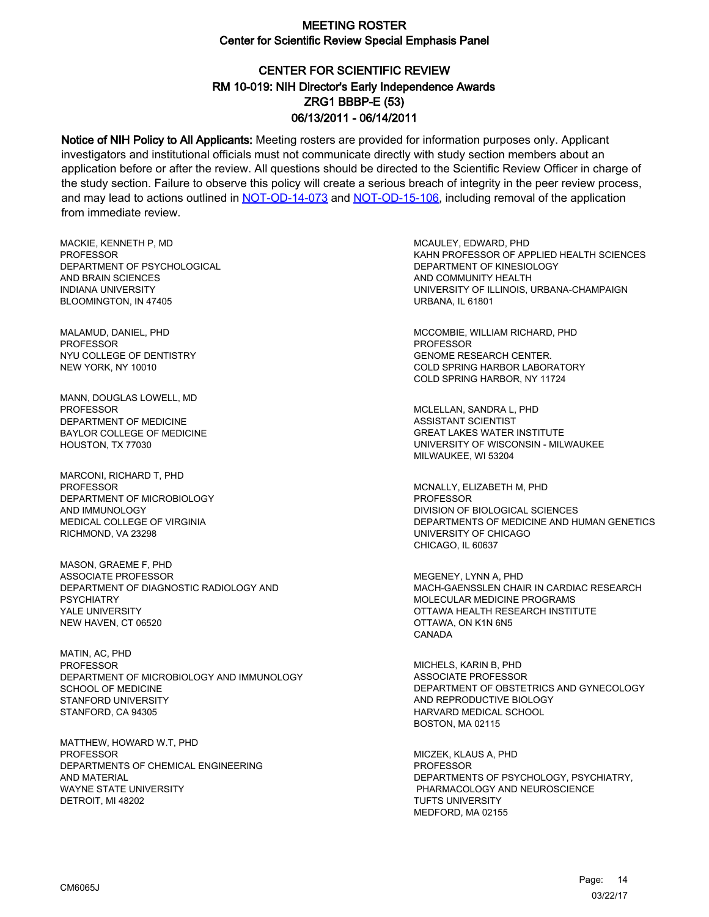# CENTER FOR SCIENTIFIC REVIEW ZRG1 BBBP-E (53) 06/13/2011 - 06/14/2011 RM 10-019: NIH Director's Early Independence Awards

Notice of NIH Policy to All Applicants: Meeting rosters are provided for information purposes only. Applicant investigators and institutional officials must not communicate directly with study section members about an application before or after the review. All questions should be directed to the Scientific Review Officer in charge of the study section. Failure to observe this policy will create a serious breach of integrity in the peer review process, and may lead to actions outlined in [NOT-OD-14-073](https://grants.nih.gov/grants/guide/notice-files/NOT-OD-14-073.html) and [NOT-OD-15-106,](https://grants.nih.gov/grants/guide/notice-files/NOT-OD-15-106.html) including removal of the application from immediate review.

MACKIE, KENNETH P, MD **PROFESSOR** DEPARTMENT OF PSYCHOLOGICAL AND BRAIN SCIENCES INDIANA UNIVERSITY BLOOMINGTON, IN 47405

MALAMUD, DANIEL, PHD PROFESSOR NYU COLLEGE OF DENTISTRY NEW YORK, NY 10010

MANN, DOUGLAS LOWELL, MD PROFESSOR DEPARTMENT OF MEDICINE BAYLOR COLLEGE OF MEDICINE HOUSTON, TX 77030

MARCONI, RICHARD T, PHD **PROFESSOR** DEPARTMENT OF MICROBIOLOGY AND IMMUNOLOGY MEDICAL COLLEGE OF VIRGINIA RICHMOND, VA 23298

MASON, GRAEME F, PHD ASSOCIATE PROFESSOR DEPARTMENT OF DIAGNOSTIC RADIOLOGY AND **PSYCHIATRY** YALE UNIVERSITY NEW HAVEN, CT 06520

MATIN, AC, PHD **PROFESSOR** DEPARTMENT OF MICROBIOLOGY AND IMMUNOLOGY SCHOOL OF MEDICINE STANFORD UNIVERSITY STANFORD, CA 94305

MATTHEW, HOWARD W.T, PHD **PROFESSOR** DEPARTMENTS OF CHEMICAL ENGINEERING AND MATERIAL WAYNE STATE UNIVERSITY DETROIT, MI 48202

MCAULEY, EDWARD, PHD KAHN PROFESSOR OF APPLIED HEALTH SCIENCES DEPARTMENT OF KINESIOLOGY AND COMMUNITY HEALTH UNIVERSITY OF ILLINOIS, URBANA-CHAMPAIGN URBANA, IL 61801

MCCOMBIE, WILLIAM RICHARD, PHD PROFESSOR GENOME RESEARCH CENTER. COLD SPRING HARBOR LABORATORY COLD SPRING HARBOR, NY 11724

MCLELLAN, SANDRA L, PHD ASSISTANT SCIENTIST GREAT LAKES WATER INSTITUTE UNIVERSITY OF WISCONSIN - MILWAUKEE MILWAUKEE, WI 53204

MCNALLY, ELIZABETH M, PHD PROFESSOR DIVISION OF BIOLOGICAL SCIENCES DEPARTMENTS OF MEDICINE AND HUMAN GENETICS UNIVERSITY OF CHICAGO CHICAGO, IL 60637

MEGENEY, LYNN A, PHD MACH-GAENSSLEN CHAIR IN CARDIAC RESEARCH MOLECULAR MEDICINE PROGRAMS OTTAWA HEALTH RESEARCH INSTITUTE OTTAWA, ON K1N 6N5 CANADA

MICHELS, KARIN B, PHD ASSOCIATE PROFESSOR DEPARTMENT OF OBSTETRICS AND GYNECOLOGY AND REPRODUCTIVE BIOLOGY HARVARD MEDICAL SCHOOL BOSTON, MA 02115

MICZEK, KLAUS A, PHD PROFESSOR DEPARTMENTS OF PSYCHOLOGY, PSYCHIATRY, PHARMACOLOGY AND NEUROSCIENCE TUFTS UNIVERSITY MEDFORD, MA 02155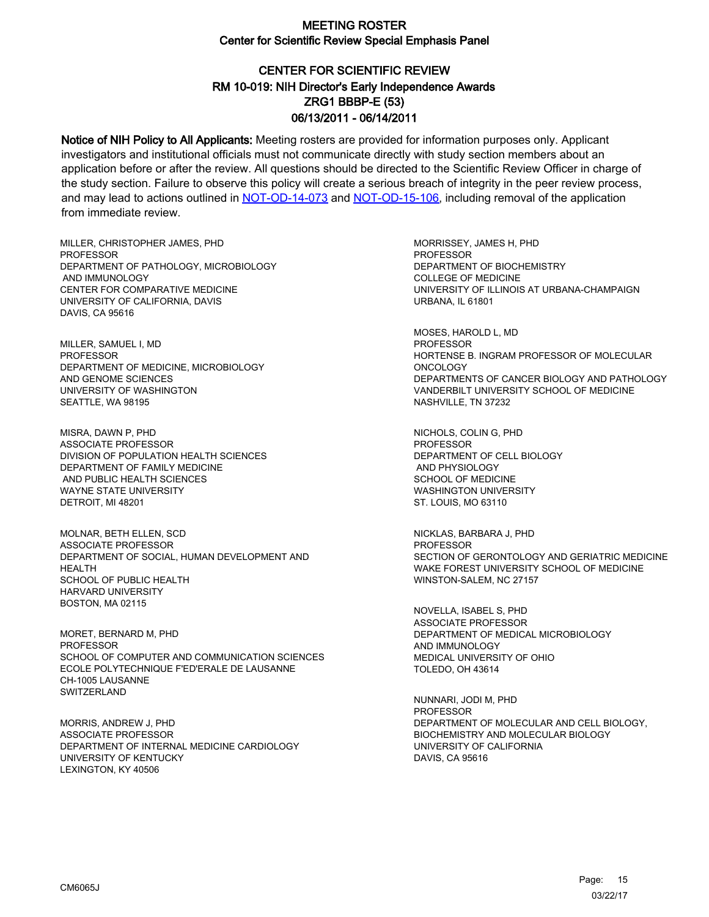# CENTER FOR SCIENTIFIC REVIEW ZRG1 BBBP-E (53) 06/13/2011 - 06/14/2011 RM 10-019: NIH Director's Early Independence Awards

Notice of NIH Policy to All Applicants: Meeting rosters are provided for information purposes only. Applicant investigators and institutional officials must not communicate directly with study section members about an application before or after the review. All questions should be directed to the Scientific Review Officer in charge of the study section. Failure to observe this policy will create a serious breach of integrity in the peer review process, and may lead to actions outlined in [NOT-OD-14-073](https://grants.nih.gov/grants/guide/notice-files/NOT-OD-14-073.html) and [NOT-OD-15-106,](https://grants.nih.gov/grants/guide/notice-files/NOT-OD-15-106.html) including removal of the application from immediate review.

MILLER, CHRISTOPHER JAMES, PHD **PROFESSOR** DEPARTMENT OF PATHOLOGY, MICROBIOLOGY AND IMMUNOLOGY CENTER FOR COMPARATIVE MEDICINE UNIVERSITY OF CALIFORNIA, DAVIS DAVIS, CA 95616

MILLER, SAMUEL I, MD PROFESSOR DEPARTMENT OF MEDICINE, MICROBIOLOGY AND GENOME SCIENCES UNIVERSITY OF WASHINGTON SEATTLE, WA 98195

MISRA, DAWN P, PHD ASSOCIATE PROFESSOR DIVISION OF POPULATION HEALTH SCIENCES DEPARTMENT OF FAMILY MEDICINE AND PUBLIC HEALTH SCIENCES WAYNE STATE UNIVERSITY DETROIT, MI 48201

MOLNAR, BETH ELLEN, SCD ASSOCIATE PROFESSOR DEPARTMENT OF SOCIAL, HUMAN DEVELOPMENT AND HFAI TH SCHOOL OF PUBLIC HEALTH HARVARD UNIVERSITY BOSTON, MA 02115

MORET, BERNARD M, PHD PROFESSOR SCHOOL OF COMPUTER AND COMMUNICATION SCIENCES ECOLE POLYTECHNIQUE F'ED'ERALE DE LAUSANNE CH-1005 LAUSANNE **SWITZERLAND** 

MORRIS, ANDREW J, PHD ASSOCIATE PROFESSOR DEPARTMENT OF INTERNAL MEDICINE CARDIOLOGY UNIVERSITY OF KENTUCKY LEXINGTON, KY 40506

MORRISSEY, JAMES H, PHD **PROFESSOR** DEPARTMENT OF BIOCHEMISTRY COLLEGE OF MEDICINE UNIVERSITY OF ILLINOIS AT URBANA-CHAMPAIGN URBANA, IL 61801

MOSES, HAROLD L, MD PROFESSOR HORTENSE B. INGRAM PROFESSOR OF MOLECULAR **ONCOLOGY** DEPARTMENTS OF CANCER BIOLOGY AND PATHOLOGY VANDERBILT UNIVERSITY SCHOOL OF MEDICINE NASHVILLE, TN 37232

NICHOLS, COLIN G, PHD **PROFESSOR** DEPARTMENT OF CELL BIOLOGY AND PHYSIOLOGY SCHOOL OF MEDICINE WASHINGTON UNIVERSITY ST. LOUIS, MO 63110

NICKLAS, BARBARA J, PHD PROFESSOR SECTION OF GERONTOLOGY AND GERIATRIC MEDICINE WAKE FOREST UNIVERSITY SCHOOL OF MEDICINE WINSTON-SALEM, NC 27157

NOVELLA, ISABEL S, PHD ASSOCIATE PROFESSOR DEPARTMENT OF MEDICAL MICROBIOLOGY AND IMMUNOLOGY MEDICAL UNIVERSITY OF OHIO TOLEDO, OH 43614

NUNNARI, JODI M, PHD PROFESSOR DEPARTMENT OF MOLECULAR AND CELL BIOLOGY, BIOCHEMISTRY AND MOLECULAR BIOLOGY UNIVERSITY OF CALIFORNIA DAVIS, CA 95616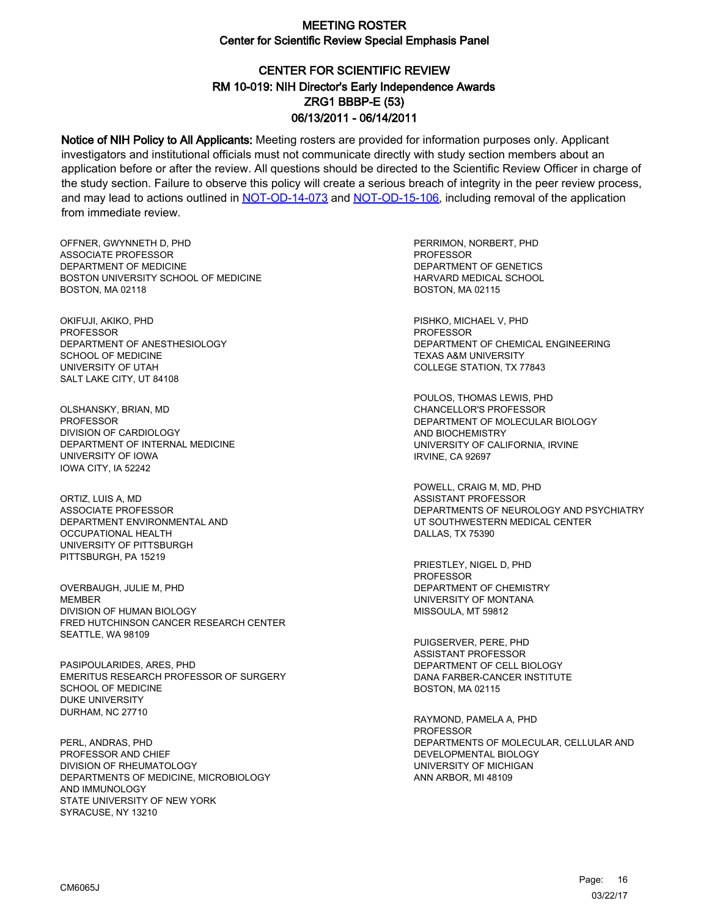# CENTER FOR SCIENTIFIC REVIEW ZRG1 BBBP-E (53) 06/13/2011 - 06/14/2011 RM 10-019: NIH Director's Early Independence Awards

Notice of NIH Policy to All Applicants: Meeting rosters are provided for information purposes only. Applicant investigators and institutional officials must not communicate directly with study section members about an application before or after the review. All questions should be directed to the Scientific Review Officer in charge of the study section. Failure to observe this policy will create a serious breach of integrity in the peer review process, and may lead to actions outlined in [NOT-OD-14-073](https://grants.nih.gov/grants/guide/notice-files/NOT-OD-14-073.html) and [NOT-OD-15-106,](https://grants.nih.gov/grants/guide/notice-files/NOT-OD-15-106.html) including removal of the application from immediate review.

OFFNER, GWYNNETH D, PHD ASSOCIATE PROFESSOR DEPARTMENT OF MEDICINE BOSTON UNIVERSITY SCHOOL OF MEDICINE BOSTON, MA 02118

OKIFUJI, AKIKO, PHD PROFESSOR DEPARTMENT OF ANESTHESIOLOGY SCHOOL OF MEDICINE UNIVERSITY OF UTAH SALT LAKE CITY, UT 84108

OLSHANSKY, BRIAN, MD PROFESSOR DIVISION OF CARDIOLOGY DEPARTMENT OF INTERNAL MEDICINE UNIVERSITY OF IOWA IOWA CITY, IA 52242

ORTIZ, LUIS A, MD ASSOCIATE PROFESSOR DEPARTMENT ENVIRONMENTAL AND OCCUPATIONAL HEALTH UNIVERSITY OF PITTSBURGH PITTSBURGH, PA 15219

OVERBAUGH, JULIE M, PHD **MEMBER** DIVISION OF HUMAN BIOLOGY FRED HUTCHINSON CANCER RESEARCH CENTER SEATTLE, WA 98109

PASIPOULARIDES, ARES, PHD EMERITUS RESEARCH PROFESSOR OF SURGERY SCHOOL OF MEDICINE DUKE UNIVERSITY DURHAM, NC 27710

PERL, ANDRAS, PHD PROFESSOR AND CHIEF DIVISION OF RHEUMATOLOGY DEPARTMENTS OF MEDICINE, MICROBIOLOGY AND IMMUNOLOGY STATE UNIVERSITY OF NEW YORK SYRACUSE, NY 13210

PERRIMON, NORBERT, PHD PROFESSOR DEPARTMENT OF GENETICS HARVARD MEDICAL SCHOOL BOSTON, MA 02115

PISHKO, MICHAEL V, PHD PROFESSOR DEPARTMENT OF CHEMICAL ENGINEERING TEXAS A&M UNIVERSITY COLLEGE STATION, TX 77843

POULOS, THOMAS LEWIS, PHD CHANCELLOR'S PROFESSOR DEPARTMENT OF MOLECULAR BIOLOGY AND BIOCHEMISTRY UNIVERSITY OF CALIFORNIA, IRVINE IRVINE, CA 92697

POWELL, CRAIG M, MD, PHD ASSISTANT PROFESSOR DEPARTMENTS OF NEUROLOGY AND PSYCHIATRY UT SOUTHWESTERN MEDICAL CENTER DALLAS, TX 75390

PRIESTLEY, NIGEL D, PHD PROFESSOR DEPARTMENT OF CHEMISTRY UNIVERSITY OF MONTANA MISSOULA, MT 59812

PUIGSERVER, PERE, PHD ASSISTANT PROFESSOR DEPARTMENT OF CELL BIOLOGY DANA FARBER-CANCER INSTITUTE BOSTON, MA 02115

RAYMOND, PAMELA A, PHD PROFESSOR DEPARTMENTS OF MOLECULAR, CELLULAR AND DEVELOPMENTAL BIOLOGY UNIVERSITY OF MICHIGAN ANN ARBOR, MI 48109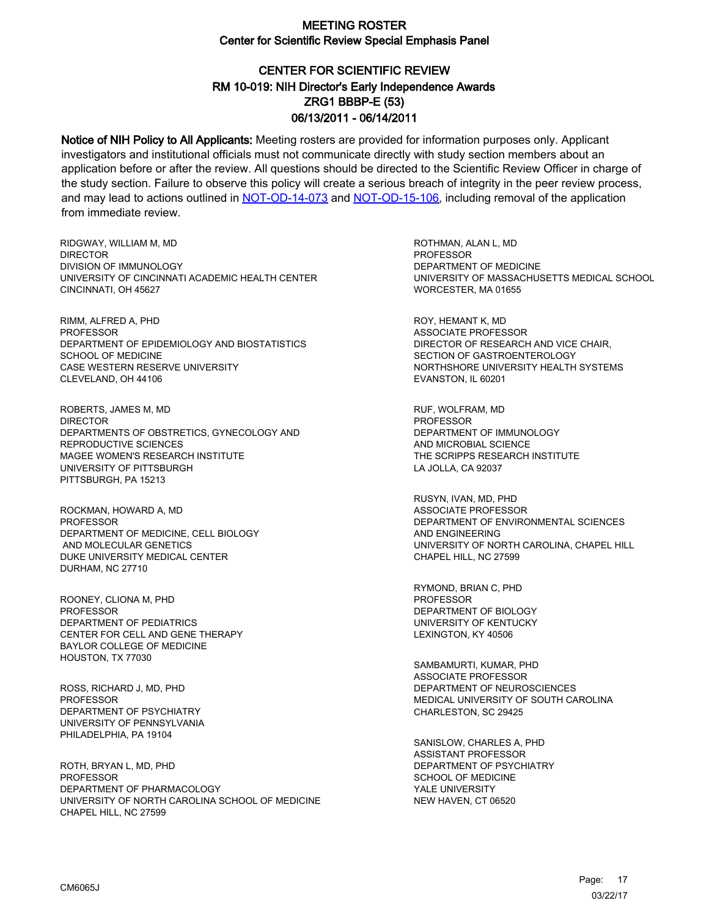# CENTER FOR SCIENTIFIC REVIEW ZRG1 BBBP-E (53) 06/13/2011 - 06/14/2011 RM 10-019: NIH Director's Early Independence Awards

Notice of NIH Policy to All Applicants: Meeting rosters are provided for information purposes only. Applicant investigators and institutional officials must not communicate directly with study section members about an application before or after the review. All questions should be directed to the Scientific Review Officer in charge of the study section. Failure to observe this policy will create a serious breach of integrity in the peer review process, and may lead to actions outlined in [NOT-OD-14-073](https://grants.nih.gov/grants/guide/notice-files/NOT-OD-14-073.html) and [NOT-OD-15-106,](https://grants.nih.gov/grants/guide/notice-files/NOT-OD-15-106.html) including removal of the application from immediate review.

RIDGWAY, WILLIAM M, MD **DIRECTOR** DIVISION OF IMMUNOLOGY UNIVERSITY OF CINCINNATI ACADEMIC HEALTH CENTER CINCINNATI, OH 45627

RIMM, ALFRED A, PHD PROFESSOR DEPARTMENT OF EPIDEMIOLOGY AND BIOSTATISTICS SCHOOL OF MEDICINE CASE WESTERN RESERVE UNIVERSITY CLEVELAND, OH 44106

ROBERTS, JAMES M, MD DIRECTOR DEPARTMENTS OF OBSTRETICS, GYNECOLOGY AND REPRODUCTIVE SCIENCES MAGEE WOMEN'S RESEARCH INSTITUTE UNIVERSITY OF PITTSBURGH PITTSBURGH, PA 15213

ROCKMAN, HOWARD A, MD **PROFESSOR** DEPARTMENT OF MEDICINE, CELL BIOLOGY AND MOLECULAR GENETICS DUKE UNIVERSITY MEDICAL CENTER DURHAM, NC 27710

ROONEY, CLIONA M, PHD PROFESSOR DEPARTMENT OF PEDIATRICS CENTER FOR CELL AND GENE THERAPY BAYLOR COLLEGE OF MEDICINE HOUSTON, TX 77030

ROSS, RICHARD J, MD, PHD PROFESSOR DEPARTMENT OF PSYCHIATRY UNIVERSITY OF PENNSYLVANIA PHILADELPHIA, PA 19104

ROTH, BRYAN L, MD, PHD PROFESSOR DEPARTMENT OF PHARMACOLOGY UNIVERSITY OF NORTH CAROLINA SCHOOL OF MEDICINE CHAPEL HILL, NC 27599

ROTHMAN, ALAN L, MD PROFESSOR DEPARTMENT OF MEDICINE UNIVERSITY OF MASSACHUSETTS MEDICAL SCHOOL WORCESTER, MA 01655

ROY, HEMANT K, MD ASSOCIATE PROFESSOR DIRECTOR OF RESEARCH AND VICE CHAIR, SECTION OF GASTROENTEROLOGY NORTHSHORE UNIVERSITY HEALTH SYSTEMS EVANSTON, IL 60201

RUF, WOLFRAM, MD PROFESSOR DEPARTMENT OF IMMUNOLOGY AND MICROBIAL SCIENCE THE SCRIPPS RESEARCH INSTITUTE LA JOLLA, CA 92037

RUSYN, IVAN, MD, PHD ASSOCIATE PROFESSOR DEPARTMENT OF ENVIRONMENTAL SCIENCES AND ENGINEERING UNIVERSITY OF NORTH CAROLINA, CHAPEL HILL CHAPEL HILL, NC 27599

RYMOND, BRIAN C, PHD PROFESSOR DEPARTMENT OF BIOLOGY UNIVERSITY OF KENTUCKY LEXINGTON, KY 40506

SAMBAMURTI, KUMAR, PHD ASSOCIATE PROFESSOR DEPARTMENT OF NEUROSCIENCES MEDICAL UNIVERSITY OF SOUTH CAROLINA CHARLESTON, SC 29425

SANISLOW, CHARLES A, PHD ASSISTANT PROFESSOR DEPARTMENT OF PSYCHIATRY SCHOOL OF MEDICINE YALE UNIVERSITY NEW HAVEN, CT 06520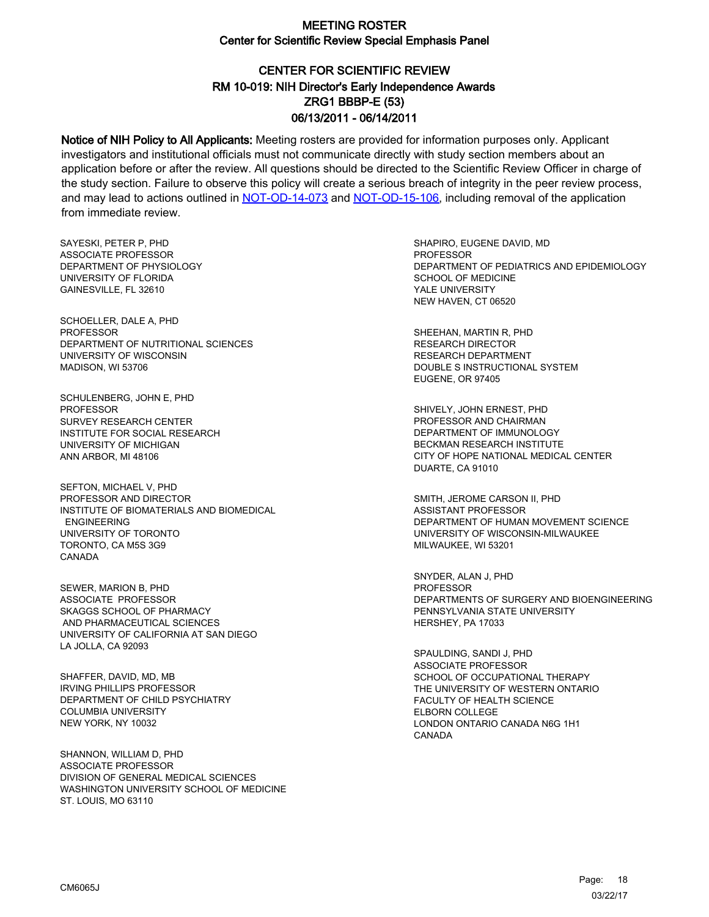# CENTER FOR SCIENTIFIC REVIEW ZRG1 BBBP-E (53) 06/13/2011 - 06/14/2011 RM 10-019: NIH Director's Early Independence Awards

Notice of NIH Policy to All Applicants: Meeting rosters are provided for information purposes only. Applicant investigators and institutional officials must not communicate directly with study section members about an application before or after the review. All questions should be directed to the Scientific Review Officer in charge of the study section. Failure to observe this policy will create a serious breach of integrity in the peer review process, and may lead to actions outlined in [NOT-OD-14-073](https://grants.nih.gov/grants/guide/notice-files/NOT-OD-14-073.html) and [NOT-OD-15-106,](https://grants.nih.gov/grants/guide/notice-files/NOT-OD-15-106.html) including removal of the application from immediate review.

SAYESKI, PETER P, PHD ASSOCIATE PROFESSOR DEPARTMENT OF PHYSIOLOGY UNIVERSITY OF FLORIDA GAINESVILLE, FL 32610

SCHOELLER, DALE A, PHD PROFESSOR DEPARTMENT OF NUTRITIONAL SCIENCES UNIVERSITY OF WISCONSIN MADISON, WI 53706

SCHULENBERG, JOHN E, PHD **PROFESSOR** SURVEY RESEARCH CENTER INSTITUTE FOR SOCIAL RESEARCH UNIVERSITY OF MICHIGAN ANN ARBOR, MI 48106

SEFTON, MICHAEL V, PHD PROFESSOR AND DIRECTOR INSTITUTE OF BIOMATERIALS AND BIOMEDICAL ENGINEERING UNIVERSITY OF TORONTO TORONTO, CA M5S 3G9 CANADA

SEWER, MARION B, PHD ASSOCIATE PROFESSOR SKAGGS SCHOOL OF PHARMACY AND PHARMACEUTICAL SCIENCES UNIVERSITY OF CALIFORNIA AT SAN DIEGO LA JOLLA, CA 92093

SHAFFER, DAVID, MD, MB IRVING PHILLIPS PROFESSOR DEPARTMENT OF CHILD PSYCHIATRY COLUMBIA UNIVERSITY NEW YORK, NY 10032

SHANNON, WILLIAM D, PHD ASSOCIATE PROFESSOR DIVISION OF GENERAL MEDICAL SCIENCES WASHINGTON UNIVERSITY SCHOOL OF MEDICINE ST. LOUIS, MO 63110

SHAPIRO, EUGENE DAVID, MD **PROFESSOR** DEPARTMENT OF PEDIATRICS AND EPIDEMIOLOGY SCHOOL OF MEDICINE YALE UNIVERSITY NEW HAVEN, CT 06520

SHEEHAN, MARTIN R, PHD RESEARCH DIRECTOR RESEARCH DEPARTMENT DOUBLE S INSTRUCTIONAL SYSTEM EUGENE, OR 97405

SHIVELY, JOHN ERNEST, PHD PROFESSOR AND CHAIRMAN DEPARTMENT OF IMMUNOLOGY BECKMAN RESEARCH INSTITUTE CITY OF HOPE NATIONAL MEDICAL CENTER DUARTE, CA 91010

SMITH, JEROME CARSON II, PHD ASSISTANT PROFESSOR DEPARTMENT OF HUMAN MOVEMENT SCIENCE UNIVERSITY OF WISCONSIN-MILWAUKEE MILWAUKEE, WI 53201

SNYDER, ALAN J, PHD PROFESSOR DEPARTMENTS OF SURGERY AND BIOENGINEERING PENNSYLVANIA STATE UNIVERSITY HERSHEY, PA 17033

SPAULDING, SANDI J, PHD ASSOCIATE PROFESSOR SCHOOL OF OCCUPATIONAL THERAPY THE UNIVERSITY OF WESTERN ONTARIO FACULTY OF HEALTH SCIENCE ELBORN COLLEGE LONDON ONTARIO CANADA N6G 1H1 CANADA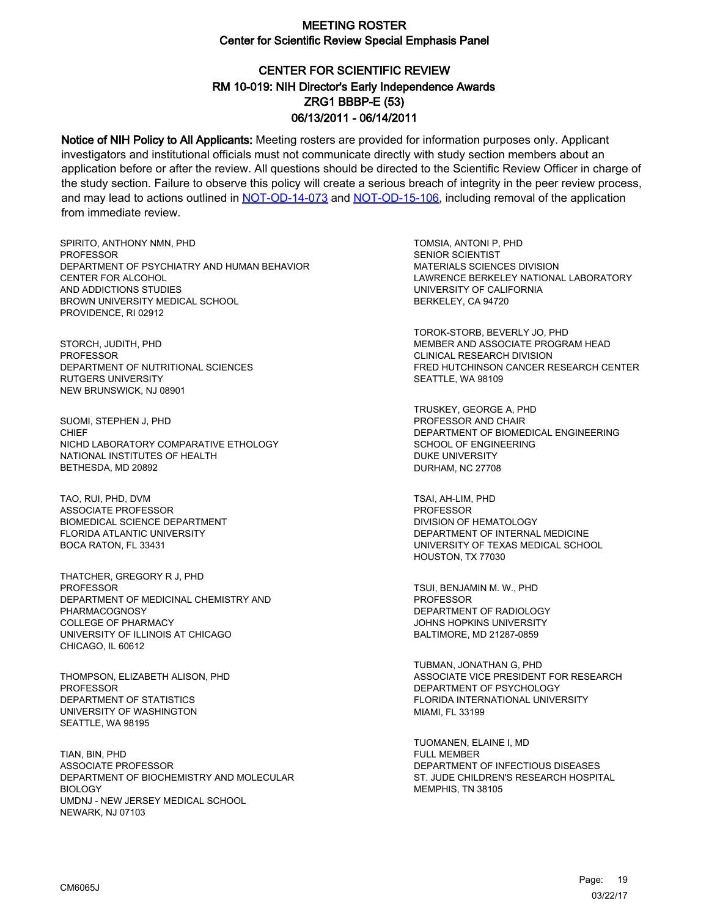# CENTER FOR SCIENTIFIC REVIEW ZRG1 BBBP-E (53) 06/13/2011 - 06/14/2011 RM 10-019: NIH Director's Early Independence Awards

Notice of NIH Policy to All Applicants: Meeting rosters are provided for information purposes only. Applicant investigators and institutional officials must not communicate directly with study section members about an application before or after the review. All questions should be directed to the Scientific Review Officer in charge of the study section. Failure to observe this policy will create a serious breach of integrity in the peer review process, and may lead to actions outlined in [NOT-OD-14-073](https://grants.nih.gov/grants/guide/notice-files/NOT-OD-14-073.html) and [NOT-OD-15-106,](https://grants.nih.gov/grants/guide/notice-files/NOT-OD-15-106.html) including removal of the application from immediate review.

SPIRITO, ANTHONY NMN, PHD **PROFESSOR** DEPARTMENT OF PSYCHIATRY AND HUMAN BEHAVIOR CENTER FOR ALCOHOL AND ADDICTIONS STUDIES BROWN UNIVERSITY MEDICAL SCHOOL PROVIDENCE, RI 02912

STORCH, JUDITH, PHD PROFESSOR DEPARTMENT OF NUTRITIONAL SCIENCES RUTGERS UNIVERSITY NEW BRUNSWICK, NJ 08901

SUOMI, STEPHEN J, PHD **CHIEF** NICHD LABORATORY COMPARATIVE ETHOLOGY NATIONAL INSTITUTES OF HEALTH BETHESDA, MD 20892

TAO, RUI, PHD, DVM ASSOCIATE PROFESSOR BIOMEDICAL SCIENCE DEPARTMENT FLORIDA ATLANTIC UNIVERSITY BOCA RATON, FL 33431

THATCHER, GREGORY R J, PHD PROFESSOR DEPARTMENT OF MEDICINAL CHEMISTRY AND PHARMACOGNOSY COLLEGE OF PHARMACY UNIVERSITY OF ILLINOIS AT CHICAGO CHICAGO, IL 60612

THOMPSON, ELIZABETH ALISON, PHD PROFESSOR DEPARTMENT OF STATISTICS UNIVERSITY OF WASHINGTON SEATTLE, WA 98195

TIAN, BIN, PHD ASSOCIATE PROFESSOR DEPARTMENT OF BIOCHEMISTRY AND MOLECULAR **BIOLOGY** UMDNJ - NEW JERSEY MEDICAL SCHOOL NEWARK, NJ 07103

TOMSIA, ANTONI P, PHD SENIOR SCIENTIST MATERIALS SCIENCES DIVISION LAWRENCE BERKELEY NATIONAL LABORATORY UNIVERSITY OF CALIFORNIA BERKELEY, CA 94720

TOROK-STORB, BEVERLY JO, PHD MEMBER AND ASSOCIATE PROGRAM HEAD CLINICAL RESEARCH DIVISION FRED HUTCHINSON CANCER RESEARCH CENTER SEATTLE, WA 98109

TRUSKEY, GEORGE A, PHD PROFESSOR AND CHAIR DEPARTMENT OF BIOMEDICAL ENGINEERING SCHOOL OF ENGINEERING DUKE UNIVERSITY DURHAM, NC 27708

TSAI, AH-LIM, PHD PROFESSOR DIVISION OF HEMATOLOGY DEPARTMENT OF INTERNAL MEDICINE UNIVERSITY OF TEXAS MEDICAL SCHOOL HOUSTON, TX 77030

TSUI, BENJAMIN M. W., PHD PROFESSOR DEPARTMENT OF RADIOLOGY JOHNS HOPKINS UNIVERSITY BALTIMORE, MD 21287-0859

TUBMAN, JONATHAN G, PHD ASSOCIATE VICE PRESIDENT FOR RESEARCH DEPARTMENT OF PSYCHOLOGY FLORIDA INTERNATIONAL UNIVERSITY MIAMI, FL 33199

TUOMANEN, ELAINE I, MD FULL MEMBER DEPARTMENT OF INFECTIOUS DISEASES ST. JUDE CHILDREN'S RESEARCH HOSPITAL MEMPHIS, TN 38105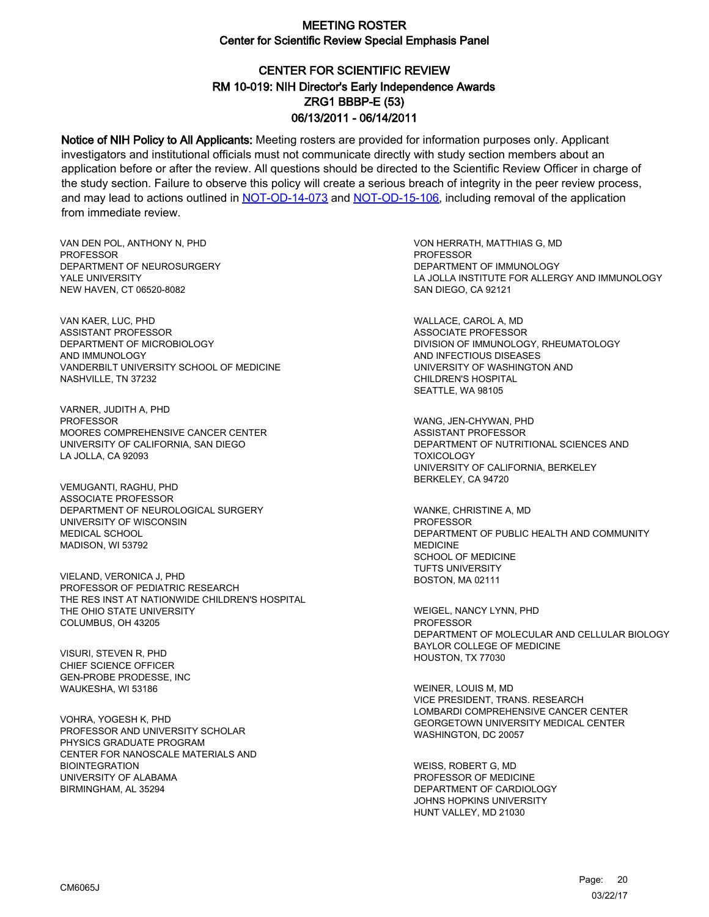## CENTER FOR SCIENTIFIC REVIEW ZRG1 BBBP-E (53) 06/13/2011 - 06/14/2011 RM 10-019: NIH Director's Early Independence Awards

Notice of NIH Policy to All Applicants: Meeting rosters are provided for information purposes only. Applicant investigators and institutional officials must not communicate directly with study section members about an application before or after the review. All questions should be directed to the Scientific Review Officer in charge of the study section. Failure to observe this policy will create a serious breach of integrity in the peer review process, and may lead to actions outlined in [NOT-OD-14-073](https://grants.nih.gov/grants/guide/notice-files/NOT-OD-14-073.html) and [NOT-OD-15-106,](https://grants.nih.gov/grants/guide/notice-files/NOT-OD-15-106.html) including removal of the application from immediate review.

VAN DEN POL, ANTHONY N, PHD **PROFESSOR** DEPARTMENT OF NEUROSURGERY YALE UNIVERSITY NEW HAVEN, CT 06520-8082

VAN KAER, LUC, PHD ASSISTANT PROFESSOR DEPARTMENT OF MICROBIOLOGY AND IMMUNOLOGY VANDERBILT UNIVERSITY SCHOOL OF MEDICINE NASHVILLE, TN 37232

VARNER, JUDITH A, PHD PROFESSOR MOORES COMPREHENSIVE CANCER CENTER UNIVERSITY OF CALIFORNIA, SAN DIEGO LA JOLLA, CA 92093

VEMUGANTI, RAGHU, PHD ASSOCIATE PROFESSOR DEPARTMENT OF NEUROLOGICAL SURGERY UNIVERSITY OF WISCONSIN MEDICAL SCHOOL MADISON, WI 53792

VIELAND, VERONICA J, PHD PROFESSOR OF PEDIATRIC RESEARCH THE RES INST AT NATIONWIDE CHILDREN'S HOSPITAL THE OHIO STATE UNIVERSITY COLUMBUS, OH 43205

VISURI, STEVEN R, PHD CHIEF SCIENCE OFFICER GEN-PROBE PRODESSE, INC WAUKESHA, WI 53186

VOHRA, YOGESH K, PHD PROFESSOR AND UNIVERSITY SCHOLAR PHYSICS GRADUATE PROGRAM CENTER FOR NANOSCALE MATERIALS AND **BIOINTEGRATION** UNIVERSITY OF ALABAMA BIRMINGHAM, AL 35294

VON HERRATH, MATTHIAS G, MD PROFESSOR DEPARTMENT OF IMMUNOLOGY LA JOLLA INSTITUTE FOR ALLERGY AND IMMUNOLOGY SAN DIEGO, CA 92121

WALLACE, CAROL A, MD ASSOCIATE PROFESSOR DIVISION OF IMMUNOLOGY, RHEUMATOLOGY AND INFECTIOUS DISEASES UNIVERSITY OF WASHINGTON AND CHILDREN'S HOSPITAL SEATTLE, WA 98105

WANG, JEN-CHYWAN, PHD ASSISTANT PROFESSOR DEPARTMENT OF NUTRITIONAL SCIENCES AND **TOXICOLOGY** UNIVERSITY OF CALIFORNIA, BERKELEY BERKELEY, CA 94720

WANKE, CHRISTINE A, MD PROFESSOR DEPARTMENT OF PUBLIC HEALTH AND COMMUNITY MEDICINE SCHOOL OF MEDICINE TUFTS UNIVERSITY BOSTON, MA 02111

WEIGEL, NANCY LYNN, PHD PROFESSOR DEPARTMENT OF MOLECULAR AND CELLULAR BIOLOGY BAYLOR COLLEGE OF MEDICINE HOUSTON, TX 77030

WEINER, LOUIS M, MD VICE PRESIDENT, TRANS. RESEARCH LOMBARDI COMPREHENSIVE CANCER CENTER GEORGETOWN UNIVERSITY MEDICAL CENTER WASHINGTON, DC 20057

WEISS, ROBERT G, MD PROFESSOR OF MEDICINE DEPARTMENT OF CARDIOLOGY JOHNS HOPKINS UNIVERSITY HUNT VALLEY, MD 21030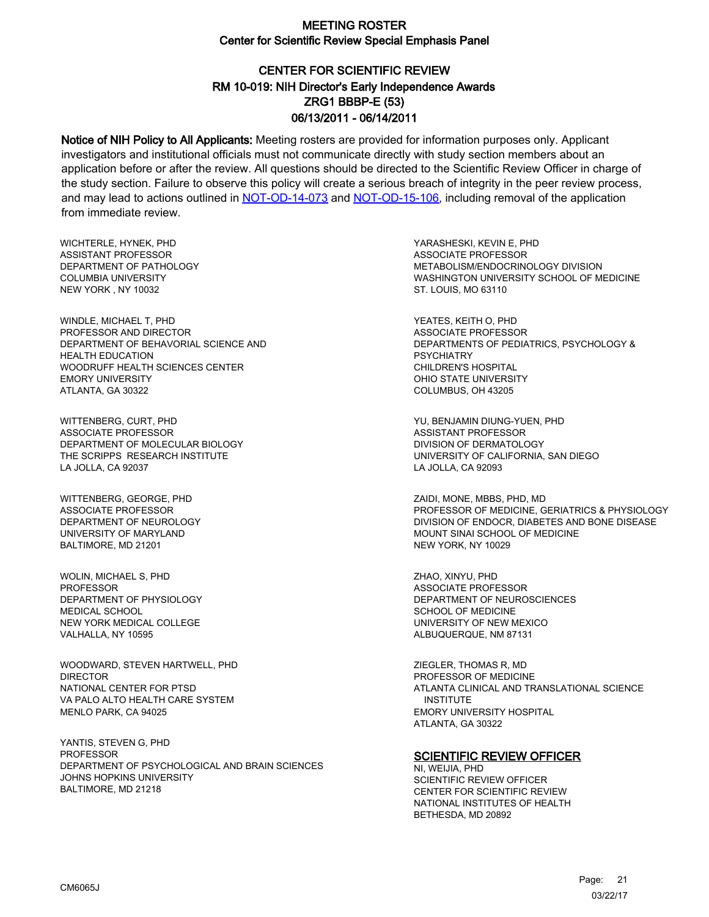# CENTER FOR SCIENTIFIC REVIEW ZRG1 BBBP-E (53) 06/13/2011 - 06/14/2011 RM 10-019: NIH Director's Early Independence Awards

Notice of NIH Policy to All Applicants: Meeting rosters are provided for information purposes only. Applicant investigators and institutional officials must not communicate directly with study section members about an application before or after the review. All questions should be directed to the Scientific Review Officer in charge of the study section. Failure to observe this policy will create a serious breach of integrity in the peer review process, and may lead to actions outlined in [NOT-OD-14-073](https://grants.nih.gov/grants/guide/notice-files/NOT-OD-14-073.html) and [NOT-OD-15-106,](https://grants.nih.gov/grants/guide/notice-files/NOT-OD-15-106.html) including removal of the application from immediate review.

WICHTERLE, HYNEK, PHD ASSISTANT PROFESSOR DEPARTMENT OF PATHOLOGY COLUMBIA UNIVERSITY NEW YORK , NY 10032

WINDLE, MICHAEL T, PHD PROFESSOR AND DIRECTOR DEPARTMENT OF BEHAVORIAL SCIENCE AND HEALTH EDUCATION WOODRUFF HEALTH SCIENCES CENTER EMORY UNIVERSITY ATLANTA, GA 30322

WITTENBERG, CURT, PHD ASSOCIATE PROFESSOR DEPARTMENT OF MOLECULAR BIOLOGY THE SCRIPPS RESEARCH INSTITUTE LA JOLLA, CA 92037

WITTENBERG, GEORGE, PHD ASSOCIATE PROFESSOR DEPARTMENT OF NEUROLOGY UNIVERSITY OF MARYLAND BALTIMORE, MD 21201

WOLIN, MICHAEL S, PHD PROFESSOR DEPARTMENT OF PHYSIOLOGY MEDICAL SCHOOL NEW YORK MEDICAL COLLEGE VALHALLA, NY 10595

WOODWARD, STEVEN HARTWELL, PHD **DIRECTOR** NATIONAL CENTER FOR PTSD VA PALO ALTO HEALTH CARE SYSTEM MENLO PARK, CA 94025

YANTIS, STEVEN G, PHD **PROFESSOR** DEPARTMENT OF PSYCHOLOGICAL AND BRAIN SCIENCES JOHNS HOPKINS UNIVERSITY BALTIMORE, MD 21218

YARASHESKI, KEVIN E, PHD ASSOCIATE PROFESSOR METABOLISM/ENDOCRINOLOGY DIVISION WASHINGTON UNIVERSITY SCHOOL OF MEDICINE ST. LOUIS, MO 63110

YEATES, KEITH O, PHD ASSOCIATE PROFESSOR DEPARTMENTS OF PEDIATRICS, PSYCHOLOGY & PSYCHIATRY CHILDREN'S HOSPITAL OHIO STATE UNIVERSITY COLUMBUS, OH 43205

YU, BENJAMIN DIUNG-YUEN, PHD ASSISTANT PROFESSOR DIVISION OF DERMATOLOGY UNIVERSITY OF CALIFORNIA, SAN DIEGO LA JOLLA, CA 92093

ZAIDI, MONE, MBBS, PHD, MD PROFESSOR OF MEDICINE, GERIATRICS & PHYSIOLOGY DIVISION OF ENDOCR, DIABETES AND BONE DISEASE MOUNT SINAI SCHOOL OF MEDICINE NEW YORK, NY 10029

ZHAO, XINYU, PHD ASSOCIATE PROFESSOR DEPARTMENT OF NEUROSCIENCES SCHOOL OF MEDICINE UNIVERSITY OF NEW MEXICO ALBUQUERQUE, NM 87131

ZIEGLER, THOMAS R, MD PROFESSOR OF MEDICINE ATLANTA CLINICAL AND TRANSLATIONAL SCIENCE INSTITUTE EMORY UNIVERSITY HOSPITAL ATLANTA, GA 30322

#### **SCIENTIFIC REVIEW OFFICER**

NI, WEIJIA, PHD SCIENTIFIC REVIEW OFFICER CENTER FOR SCIENTIFIC REVIEW NATIONAL INSTITUTES OF HEALTH BETHESDA, MD 20892